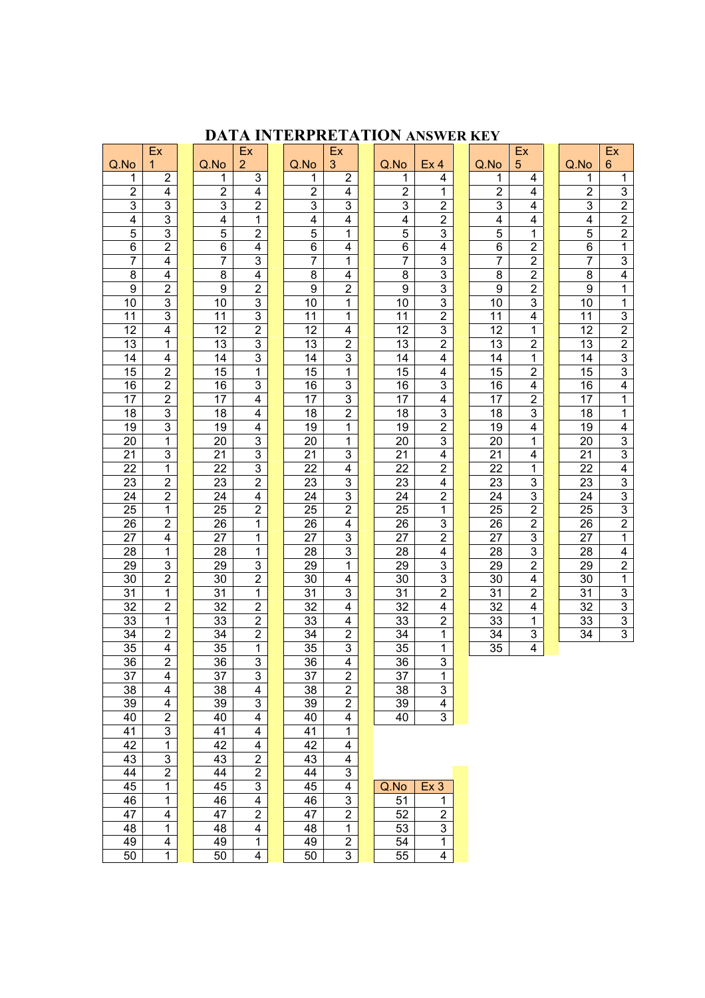# **DATA INTERPRETATION ANSWER KEY**

|                 | Ex                               |                                    | Ex                               |                 | Ex                      |                                    |                                  |                                    | Ex                                        |                         | Ex                               |
|-----------------|----------------------------------|------------------------------------|----------------------------------|-----------------|-------------------------|------------------------------------|----------------------------------|------------------------------------|-------------------------------------------|-------------------------|----------------------------------|
| Q.No            | $\mathbf{1}$                     | Q.No                               | $\overline{2}$                   | Q.No            | 3                       | Q.No                               | Ex <sub>4</sub>                  | Q.No                               | 5                                         | Q.No                    | $6\phantom{1}$                   |
| 1               | $\overline{2}$                   | 1                                  | 3                                | 1               | $\overline{2}$          | 1                                  | 4                                | 1                                  | 4                                         | 1                       | 1                                |
| $\overline{2}$  | 4                                | $\overline{2}$                     | $\overline{4}$                   | $\overline{2}$  | 4                       | $\overline{2}$                     | 1                                | $\overline{2}$                     | 4                                         | $\overline{2}$          | $\overline{3}$                   |
| 3               | 3                                | $\overline{3}$                     | $\overline{2}$                   | $\overline{3}$  | 3                       | $\overline{3}$                     | $\overline{2}$                   | $\overline{3}$                     | $\overline{4}$                            | $\overline{3}$          | $\overline{\mathbf{2}}$          |
| 4               | $\overline{3}$                   | 4                                  | 1                                | 4               | 4                       | 4                                  | $\overline{2}$                   | 4                                  | 4                                         | $\overline{\mathbf{4}}$ | $\overline{2}$                   |
| 5               | 3                                | $\overline{5}$                     | $\overline{2}$                   | $\overline{5}$  | 1                       | 5                                  | 3                                | $\overline{5}$                     | 1                                         | $\overline{5}$          | $\overline{2}$                   |
| 6               | $\overline{2}$                   | $\overline{6}$                     | $\overline{4}$                   | $\overline{6}$  | 4                       | $\overline{6}$                     | $\overline{\mathbf{4}}$          | $\overline{6}$                     | $\overline{2}$                            | $\overline{6}$          | $\mathbf 1$                      |
| $\overline{7}$  | $\overline{4}$                   | 7                                  | 3                                | $\overline{7}$  | 1                       | $\overline{7}$                     | $\overline{3}$                   | $\overline{7}$                     | $\overline{2}$                            | 7                       | 3                                |
| 8               | $\overline{4}$                   | $\overline{8}$                     | $\overline{4}$                   | $\overline{8}$  | 4                       | 8                                  | $\overline{3}$                   | $\overline{8}$                     | $\overline{2}$                            | $\overline{8}$          | $\overline{4}$                   |
| $\overline{9}$  | $\overline{2}$                   | $\overline{9}$                     | $\overline{2}$                   | $\overline{9}$  | $\overline{2}$          | $\overline{9}$                     | 3                                | $\overline{9}$                     | $\overline{2}$                            | $\overline{9}$          | 1                                |
| 10<br>11        | 3<br>3                           | $\overline{10}$<br>$\overline{11}$ | 3<br>$\overline{3}$              | 10<br>11        | 1                       | $\overline{10}$<br>$\overline{11}$ | $\overline{3}$<br>$\overline{2}$ | $\overline{10}$                    | $\overline{3}$<br>$\overline{\mathbf{4}}$ | 10<br>11                | 1                                |
| 12              | $\overline{4}$                   | $\overline{12}$                    | $\overline{2}$                   | 12              | 1<br>4                  | $\overline{12}$                    | $\overline{3}$                   | $\overline{11}$<br>$\overline{12}$ | 1                                         | $\overline{12}$         | $\overline{3}$<br>$\overline{2}$ |
| 13              | 1                                | $\overline{13}$                    | $\overline{3}$                   | 13              | $\overline{2}$          | $\overline{13}$                    | $\overline{2}$                   | $\overline{13}$                    | $\overline{2}$                            | $\overline{13}$         | $\overline{2}$                   |
| 14              | 4                                | 14                                 | $\overline{3}$                   | 14              | 3                       | 14                                 | $\overline{\mathbf{4}}$          | 14                                 | 1                                         | 14                      | $\overline{3}$                   |
| 15              | $\overline{2}$                   | $\overline{15}$                    | 1                                | $\overline{15}$ | 1                       | $\overline{15}$                    | $\overline{\mathbf{4}}$          | $\overline{15}$                    | $\overline{2}$                            | $\overline{15}$         | $\overline{3}$                   |
| 16              | $\overline{2}$                   | 16                                 | $\overline{3}$                   | 16              | 3                       | 16                                 | $\overline{3}$                   | 16                                 | $\overline{\mathbf{4}}$                   | 16                      | 4                                |
| $\overline{17}$ | $\overline{2}$                   | $\overline{17}$                    | $\overline{4}$                   | $\overline{17}$ | 3                       | 17                                 | $\overline{4}$                   | 17                                 | $\overline{2}$                            | $\overline{17}$         | 1                                |
| $\overline{18}$ | $\overline{3}$                   | $\overline{18}$                    | $\overline{4}$                   | $\overline{18}$ | $\overline{2}$          | $\overline{18}$                    | $\overline{3}$                   | $\overline{18}$                    | $\overline{3}$                            | $\overline{18}$         | $\overline{\mathbf{1}}$          |
| 19              | $\overline{3}$                   | 19                                 | $\overline{\mathbf{4}}$          | 19              | 1                       | 19                                 | $\overline{2}$                   | 19                                 | 4                                         | 19                      | 4                                |
| 20              | 1                                | 20                                 | $\overline{3}$                   | 20              | 1                       | 20                                 | $\overline{3}$                   | 20                                 | 1                                         | 20                      | $\overline{3}$                   |
| 21              | 3                                | 21                                 | $\overline{3}$                   | 21              | 3                       | 21                                 | $\overline{\mathbf{4}}$          | 21                                 | 4                                         | 21                      | $\overline{3}$                   |
| 22              | 1                                | 22                                 | $\overline{3}$                   | 22              | 4                       | 22                                 | $\overline{2}$                   | 22                                 | 1                                         | 22                      | 4                                |
| 23              | $\overline{2}$                   | 23                                 | $\overline{2}$                   | 23              | 3                       | 23                                 | $\overline{\mathbf{4}}$          | 23                                 | $\overline{3}$                            | 23                      | $\overline{3}$                   |
| 24              | $\overline{2}$                   | 24                                 | $\overline{4}$                   | 24              | 3                       | 24                                 | $\overline{2}$                   | 24                                 | $\overline{3}$                            | 24                      | $\overline{3}$                   |
| $\overline{25}$ | $\overline{1}$                   | $\overline{25}$                    | $\overline{2}$                   | $\overline{25}$ | $\overline{2}$          | $\overline{25}$                    | $\overline{1}$                   | $\overline{25}$                    | $\overline{2}$                            | $\overline{25}$         | $\overline{3}$                   |
| 26              | $\overline{2}$                   | 26                                 | $\overline{1}$                   | 26              | 4                       | 26                                 | 3                                | 26                                 | $\overline{2}$                            | 26                      | $\mathbf{2}$                     |
| $\overline{27}$ | $\overline{4}$                   | $\overline{27}$                    | $\overline{1}$                   | $\overline{27}$ | 3                       | $\overline{27}$                    | $\overline{2}$                   | $\overline{27}$                    | $\overline{3}$                            | $\overline{27}$         | 1                                |
| 28              | 1                                | 28                                 | 1                                | 28              | 3                       | 28                                 | 4                                | 28                                 | $\overline{3}$                            | 28                      | 4                                |
| $\overline{29}$ | $\overline{3}$                   | $\overline{29}$                    | $\overline{3}$                   | $\overline{29}$ | $\mathbf 1$             | $\overline{29}$                    | $\overline{3}$                   | 29                                 | $\overline{2}$                            | $\overline{29}$         | $\overline{2}$                   |
| 30              | $\overline{2}$                   | 30                                 | $\overline{2}$                   | 30              | 4                       | 30                                 | 3                                | 30                                 | $\overline{4}$                            | 30                      | 1                                |
| $\overline{31}$ | 1                                | 31                                 | $\overline{1}$                   | $\overline{31}$ | 3                       | $\overline{31}$                    | $\overline{2}$                   | $\overline{31}$                    | $\overline{2}$                            | 31                      | $\overline{3}$                   |
| 32<br>33        | $\overline{2}$<br>$\overline{1}$ | 32<br>$\overline{33}$              | $\overline{2}$<br>$\overline{2}$ | 32<br>33        | 4<br>4                  | 32<br>33                           | 4<br>$\overline{2}$              | 32<br>33                           | 4<br>1                                    | 32<br>33                | 3<br>$\overline{3}$              |
| 34              | $\overline{2}$                   | $\overline{34}$                    | $\overline{2}$                   | $\overline{34}$ | $\overline{2}$          | 34                                 | $\overline{1}$                   | $\overline{34}$                    | $\overline{3}$                            | $\overline{34}$         | $\overline{3}$                   |
| 35              | $\overline{4}$                   | 35                                 | 1                                | 35              | 3                       | 35                                 | $\mathbf 1$                      | $\overline{35}$                    | $\overline{4}$                            |                         |                                  |
| 36              | $\overline{2}$                   | 36                                 | $\overline{3}$                   | 36              | 4                       | 36                                 | $\overline{3}$                   |                                    |                                           |                         |                                  |
| $\overline{37}$ | $\overline{4}$                   | $\overline{37}$                    | $\overline{3}$                   | $\overline{37}$ | $\overline{2}$          | $\overline{37}$                    | 1                                |                                    |                                           |                         |                                  |
| 38              | 4                                | 38                                 | 4                                | 38              | $\overline{\mathbf{c}}$ | 38                                 | $\ensuremath{\mathsf{3}}$        |                                    |                                           |                         |                                  |
| 39              | 4                                | 39                                 | 3                                | 39              | 2                       | 39                                 | 4                                |                                    |                                           |                         |                                  |
| 40              | $\overline{c}$                   | 40                                 | 4                                | 40              | 4                       | 40                                 | 3                                |                                    |                                           |                         |                                  |
| 41              | 3                                | 41                                 | 4                                | 41              | 1                       |                                    |                                  |                                    |                                           |                         |                                  |
| 42              | $\mathbf{1}$                     | 42                                 | 4                                | 42              | 4                       |                                    |                                  |                                    |                                           |                         |                                  |
| 43              | 3                                | 43                                 | $\overline{2}$                   | 43              | 4                       |                                    |                                  |                                    |                                           |                         |                                  |
| 44              | $\overline{2}$                   | 44                                 | $\overline{2}$                   | 44              | 3                       |                                    |                                  |                                    |                                           |                         |                                  |
| 45              | 1                                | 45                                 | $\overline{3}$                   | 45              | 4                       | Q.No                               | Ex <sub>3</sub>                  |                                    |                                           |                         |                                  |
| 46              | 1                                | 46                                 | $\overline{\mathbf{4}}$          | 46              | 3                       | 51                                 | 1                                |                                    |                                           |                         |                                  |
| 47              | 4                                | 47                                 | $\overline{2}$                   | 47              | $\overline{2}$          | 52                                 | $\overline{2}$                   |                                    |                                           |                         |                                  |
| 48              | 1                                | 48                                 | $\overline{\mathbf{4}}$          | 48              | $\mathbf{1}$            | 53                                 | 3                                |                                    |                                           |                         |                                  |
| 49              | 4                                | 49                                 | $\mathbf{1}$                     | 49              | $\overline{\mathbf{c}}$ | 54                                 | 1                                |                                    |                                           |                         |                                  |
| $\overline{50}$ | 1                                | 50                                 | 4                                | 50              | 3                       | $\overline{55}$                    | 4                                |                                    |                                           |                         |                                  |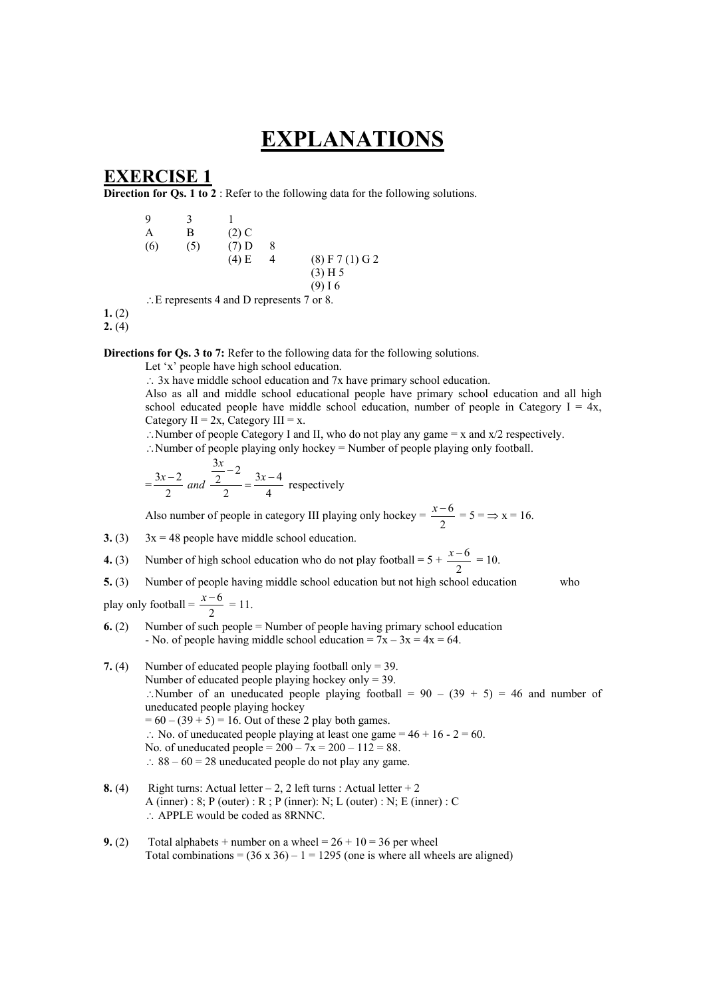# **EXPLANATIONS**

# **EXERCISE 1**

**Direction for Qs. 1 to 2** : Refer to the following data for the following solutions.

| 9   | 3   |         |   |                   |
|-----|-----|---------|---|-------------------|
| А   | В   | $(2)$ C |   |                   |
| (6) | (5) | $(7)$ D | 8 |                   |
|     |     | $(4)$ E | 4 | $(8)$ F 7 (1) G 2 |
|     |     |         |   | (3) H 5           |
|     |     |         |   | $(9)$ I 6         |
|     |     |         |   | $\sim$            |

∴E represents 4 and D represents 7 or 8.

**1.** (2)

**2.** (4)

**Directions for Qs. 3 to 7:** Refer to the following data for the following solutions.

Let 'x' people have high school education.

∴ 3x have middle school education and 7x have primary school education.

Also as all and middle school educational people have primary school education and all high school educated people have middle school education, number of people in Category  $I = 4x$ , Category  $II = 2x$ , Category  $III = x$ .

∴Number of people Category I and II, who do not play any game = x and x/2 respectively.

∴Number of people playing only hockey = Number of people playing only football.

$$
=\frac{3x-2}{2}
$$
 and 
$$
\frac{\frac{3x}{2}-2}{2} = \frac{3x-4}{4}
$$
 respectively

Also number of people in category III playing only hockey =  $\frac{x-6}{2}$  = 5 =  $\Rightarrow$  x = 16.

- **3.** (3)  $3x = 48$  people have middle school education.
- **4.** (3) Number of high school education who do not play football =  $5 + \frac{x-6}{2} = 10$ .
- **5.** (3) Number of people having middle school education but not high school education who

play only football =  $\frac{x-6}{2} = 11$ .

- **6.** (2) Number of such people = Number of people having primary school education - No. of people having middle school education =  $7x - 3x = 4x = 64$ .
- **7.** (4) Number of educated people playing football only = 39. Number of educated people playing hockey only = 39. ∴Number of an uneducated people playing football =  $90 - (39 + 5) = 46$  and number of uneducated people playing hockey  $= 60 - (39 + 5) = 16$ . Out of these 2 play both games. ∴ No. of uneducated people playing at least one game =  $46 + 16 - 2 = 60$ . No. of uneducated people =  $200 - 7x = 200 - 112 = 88$ . ∴ 88 – 60 = 28 uneducated people do not play any game.
- **8.** (4) Right turns: Actual letter  $-2$ , 2 left turns : Actual letter  $+2$ A (inner) :  $8$ ; P (outer) :  $R$ ; P (inner): N; L (outer) : N; E (inner) : C ∴ APPLE would be coded as 8RNNC.
- **9.** (2) Total alphabets + number on a wheel =  $26 + 10 = 36$  per wheel Total combinations =  $(36 \times 36) - 1 = 1295$  (one is where all wheels are aligned)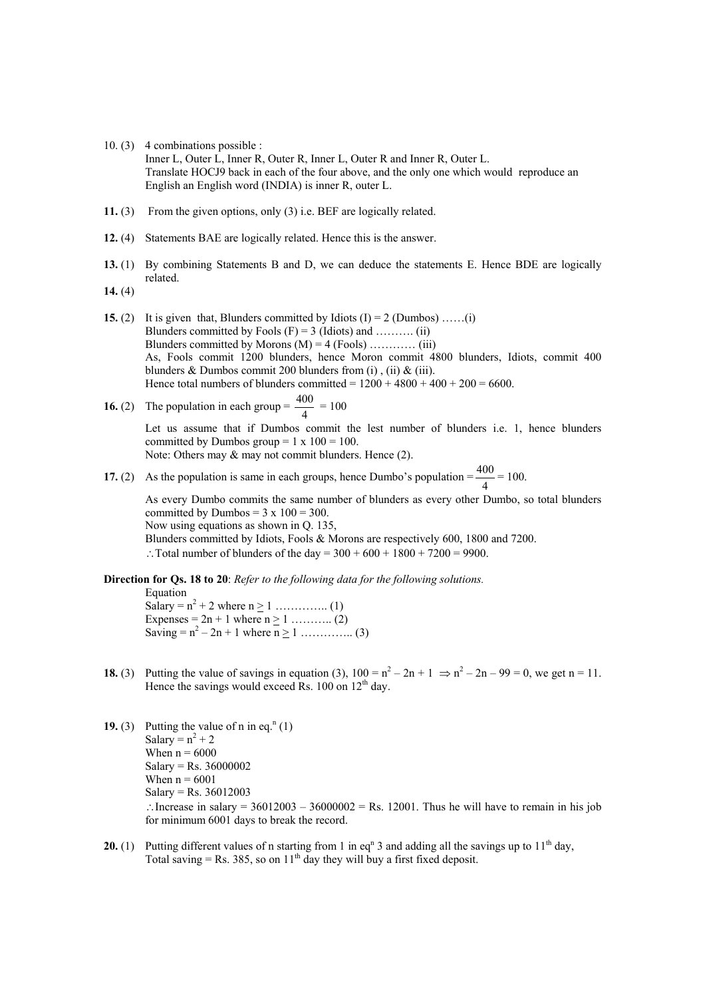- 10. (3) 4 combinations possible : Inner L, Outer L, Inner R, Outer R, Inner L, Outer R and Inner R, Outer L. Translate HOCJ9 back in each of the four above, and the only one which would reproduce an English an English word (INDIA) is inner R, outer L.
- **11.** (3) From the given options, only (3) i.e. BEF are logically related.
- **12.** (4) Statements BAE are logically related. Hence this is the answer.
- **13.** (1) By combining Statements B and D, we can deduce the statements E. Hence BDE are logically related.
- **14.** (4)
- **15.** (2) It is given that, Blunders committed by Idiots  $(I) = 2$  (Dumbos) ......(i) Blunders committed by Fools  $(F) = 3$  (Idiots) and ………. (ii) Blunders committed by Morons  $(M) = 4$  (Fools) ………… (iii) As, Fools commit 1200 blunders, hence Moron commit 4800 blunders, Idiots, commit 400 blunders  $\&$  Dumbos commit 200 blunders from (i), (ii)  $\&$  (iii). Hence total numbers of blunders committed =  $1200 + 4800 + 400 + 200 = 6600$ .
- **16.** (2) The population in each group =  $\frac{400}{4}$  = 100

Let us assume that if Dumbos commit the lest number of blunders i.e. 1, hence blunders committed by Dumbos group =  $1 \times 100 = 100$ . Note: Others may & may not commit blunders. Hence (2).

**17.** (2) As the population is same in each groups, hence Dumbo's population =  $\frac{400}{4}$  = 100.

As every Dumbo commits the same number of blunders as every other Dumbo, so total blunders committed by Dumbos =  $3 \times 100 = 300$ . Now using equations as shown in Q. 135, Blunders committed by Idiots, Fools & Morons are respectively 600, 1800 and 7200. ∴Total number of blunders of the day =  $300 + 600 + 1800 + 7200 = 9900$ .

**Direction for Qs. 18 to 20**: *Refer to the following data for the following solutions.*  Equation

 Salary = n2 + 2 where n > 1 ………….. (1) Expenses =  $2n + 1$  where  $n \ge 1$  … .......... (2) Saving = n2 – 2n + 1 where n > 1 ………….. (3)

- **18.** (3) Putting the value of savings in equation (3),  $100 = n^2 2n + 1 \Rightarrow n^2 2n 99 = 0$ , we get n = 11. Hence the savings would exceed Rs.  $100$  on  $12<sup>th</sup>$  day.
- **19.** (3) Putting the value of n in eq.<sup>n</sup> (1) Salary =  $n^2 + 2$ When  $n = 6000$  Salary = Rs. 36000002 When  $n = 6001$  Salary = Rs. 36012003 ∴Increase in salary =  $36012003 - 36000002 =$  Rs. 12001. Thus he will have to remain in his job for minimum 6001 days to break the record.
- **20.** (1) Putting different values of n starting from 1 in eq<sup>n</sup> 3 and adding all the savings up to  $11<sup>th</sup>$  day, Total saving = Rs. 385, so on  $11<sup>th</sup>$  day they will buy a first fixed deposit.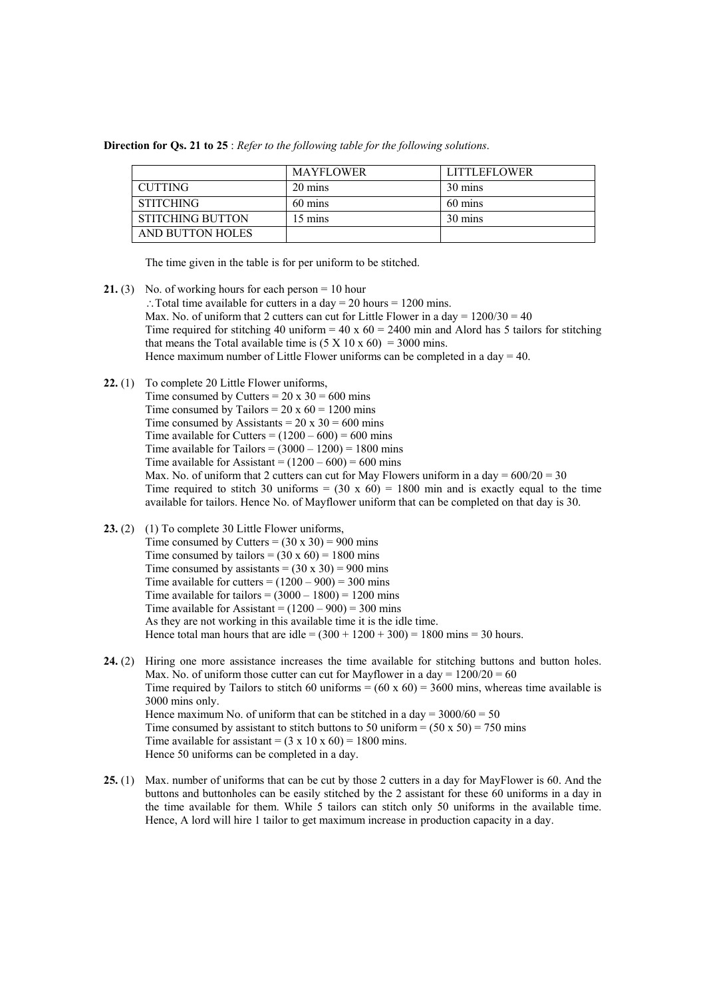**Direction for Qs. 21 to 25** : *Refer to the following table for the following solutions*.

|                         | <b>MAYFLOWER</b> | <b>LITTLEFLOWER</b> |
|-------------------------|------------------|---------------------|
| CUTTING                 | 20 mins          | 30 mins             |
| <b>STITCHING</b>        | 60 mins          | 60 mins             |
| <b>STITCHING BUTTON</b> | 15 mins          | 30 mins             |
| AND BUTTON HOLES        |                  |                     |

The time given in the table is for per uniform to be stitched.

- **21.** (3) No. of working hours for each person = 10 hour ∴Total time available for cutters in a day = 20 hours = 1200 mins. Max. No. of uniform that 2 cutters can cut for Little Flower in a day  $= 1200/30 = 40$ Time required for stitching 40 uniform =  $40 \times 60 = 2400$  min and Alord has 5 tailors for stitching that means the Total available time is  $(5 \times 10 \times 60) = 3000$  mins. Hence maximum number of Little Flower uniforms can be completed in a day  $= 40$ .
- **22.** (1) To complete 20 Little Flower uniforms,
	- Time consumed by Cutters =  $20 \times 30 = 600$  mins Time consumed by Tailors =  $20 \times 60 = 1200$  mins Time consumed by Assistants =  $20 \times 30 = 600$  mins Time available for Cutters  $= (1200 - 600) = 600$  mins Time available for Tailors =  $(3000 - 1200) = 1800$  mins Time available for Assistant =  $(1200 - 600) = 600$  mins Max. No. of uniform that 2 cutters can cut for May Flowers uniform in a day  $= 600/20 = 30$ Time required to stitch 30 uniforms =  $(30 \times 60)$  = 1800 min and is exactly equal to the time available for tailors. Hence No. of Mayflower uniform that can be completed on that day is 30.
- 23. (2) (1) To complete 30 Little Flower uniforms. Time consumed by Cutters =  $(30 \times 30)$  = 900 mins Time consumed by tailors =  $(30 \times 60)$  = 1800 mins Time consumed by assistants =  $(30 \times 30) = 900$  mins Time available for cutters  $= (1200 - 900) = 300$  mins Time available for tailors =  $(3000 - 1800) = 1200$  mins Time available for Assistant =  $(1200 - 900) = 300$  mins As they are not working in this available time it is the idle time. Hence total man hours that are idle =  $(300 + 1200 + 300) = 1800$  mins = 30 hours.
- **24.** (2) Hiring one more assistance increases the time available for stitching buttons and button holes. Max. No. of uniform those cutter can cut for Mayflower in a day =  $1200/20 = 60$ Time required by Tailors to stitch 60 uniforms =  $(60 \times 60)$  = 3600 mins, whereas time available is 3000 mins only. Hence maximum No. of uniform that can be stitched in a day =  $3000/60 = 50$ Time consumed by assistant to stitch buttons to 50 uniform  $= (50 \times 50) = 750$  mins Time available for assistant =  $(3 \times 10 \times 60) = 1800$  mins. Hence 50 uniforms can be completed in a day.
- **25.** (1) Max. number of uniforms that can be cut by those 2 cutters in a day for MayFlower is 60. And the buttons and buttonholes can be easily stitched by the 2 assistant for these 60 uniforms in a day in the time available for them. While 5 tailors can stitch only 50 uniforms in the available time. Hence, A lord will hire 1 tailor to get maximum increase in production capacity in a day.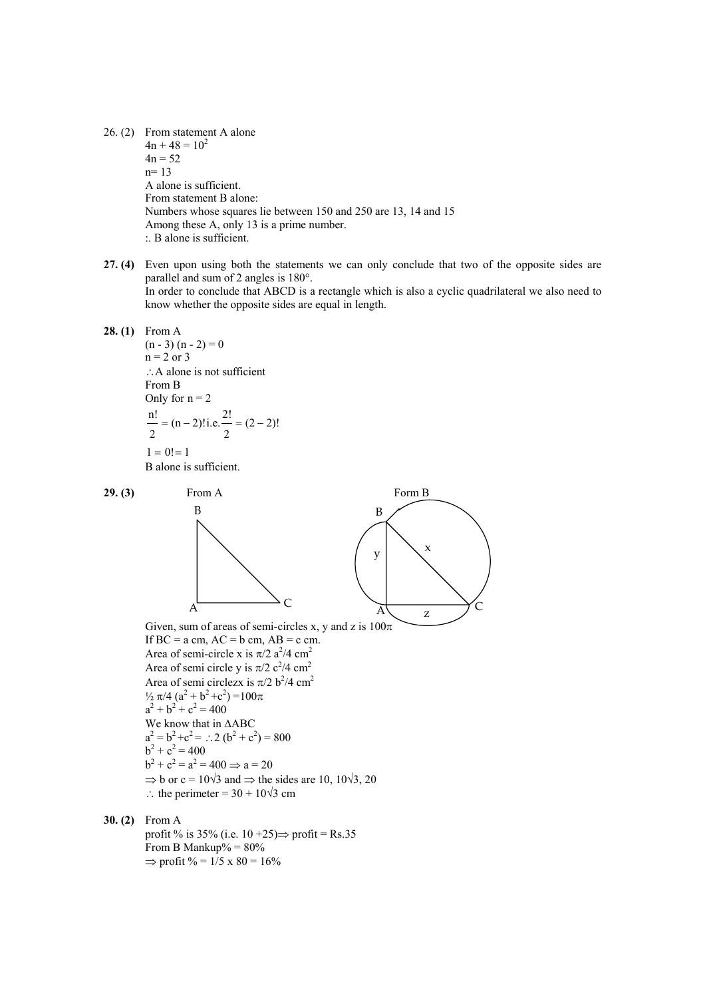26. (2) From statement A alone  $4n + 48 = 10<sup>2</sup>$  $4n = 52$ n= 13 A alone is sufficient. From statement B alone: Numbers whose squares lie between 150 and 250 are 13, 14 and 15 Among these A, only 13 is a prime number. :. B alone is sufficient.

- **27. (4)** Even upon using both the statements we can only conclude that two of the opposite sides are parallel and sum of 2 angles is 180°. In order to conclude that ABCD is a rectangle which is also a cyclic quadrilateral we also need to know whether the opposite sides are equal in length.
- **28. (1)** From A  $(n - 3) (n - 2) = 0$  $n = 2$  or 3 ∴A alone is not sufficient From B Only for  $n = 2$  $1 = 0! = 1$  $(2 - 2)!$ 2  $(n-2)!$  i.e.  $\frac{2!}{n}$ 2  $n!$  = (n – 2)! i.e.  $n!$  = (2 –

B alone is sufficient.



profit % is 35% (i.e.  $10+25 \implies$  profit = Rs.35 From B Mankup% =  $80\%$  $\Rightarrow$  profit % = 1/5 x 80 = 16%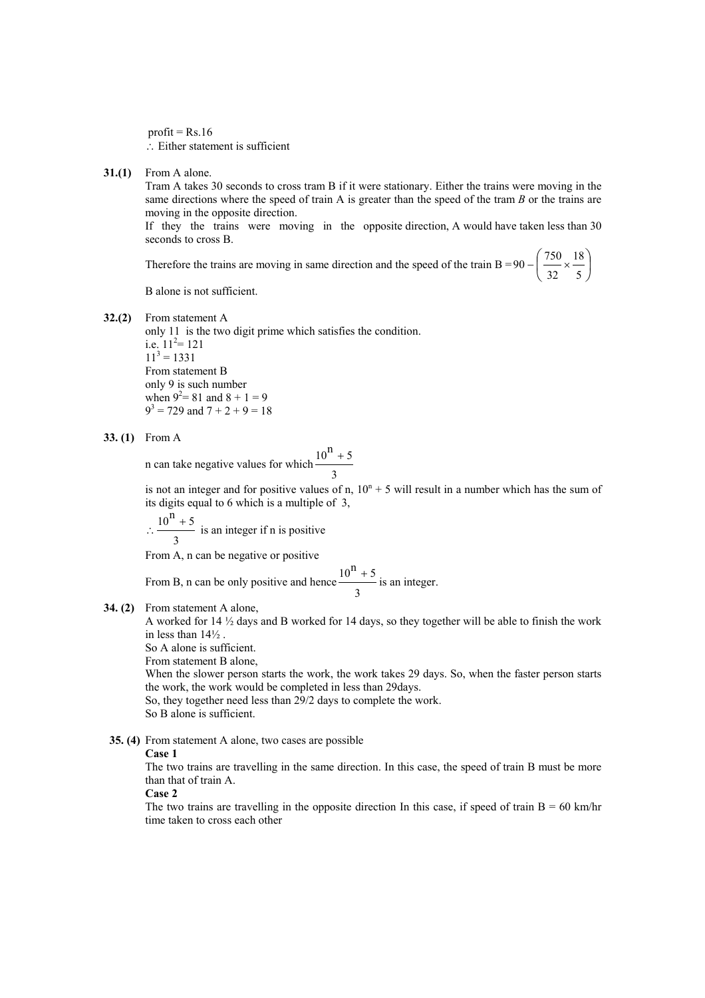profit =  $Rs.16$ ∴ Either statement is sufficient

**31.(1)** From A alone.

Tram A takes 30 seconds to cross tram B if it were stationary. Either the trains were moving in the same directions where the speed of train A is greater than the speed of the tram *B* or the trains are moving in the opposite direction.

If they the trains were moving in the opposite direction, A would have taken less than 30 seconds to cross B.

Therefore the trains are moving in same direction and the speed of the train B = 90 –  $\frac{756}{100} \times \frac{1}{100}$ ⎠  $\left(\frac{750}{22} \times \frac{18}{7}\right)$  $-\left(\frac{750}{32} \times \frac{18}{5}\right)$ 32  $90 - \left(\frac{750}{100}\times\frac{18}{100}\right)$ 

B alone is not sufficient.

**32.(2)** From statement A

only 11 is the two digit prime which satisfies the condition. i.e.  $11^2$  = 121  $11<sup>3</sup> = 1331$ From statement B only 9 is such number when  $9^2 = 81$  and  $8 + 1 = 9$  $9^3$  = 729 and 7 + 2 + 9 = 18

**33. (1)** From A

n can take negative values for which 3  $10^{n} + 5$ 

is not an integer and for positive values of n,  $10^{n} + 5$  will result in a number which has the sum of its digits equal to 6 which is a multiple of 3,

∴ 3  $\frac{10^n + 5}{10^n}$  is an integer if n is positive

From A, n can be negative or positive

From B, n can be only positive and hence 3  $\frac{10^n + 5}{\text{s}}$  is an integer.

**34. (2)** From statement A alone,

A worked for 14 ½ days and B worked for 14 days, so they together will be able to finish the work in less than 14½ .

So A alone is sufficient.

From statement B alone,

When the slower person starts the work, the work takes 29 days. So, when the faster person starts the work, the work would be completed in less than 29days.

So, they together need less than 29/2 days to complete the work.

So B alone is sufficient.

 **35. (4)** From statement A alone, two cases are possible

### **Case 1**

The two trains are travelling in the same direction. In this case, the speed of train B must be more than that of train A.

**Case 2** 

The two trains are travelling in the opposite direction In this case, if speed of train  $B = 60$  km/hr time taken to cross each other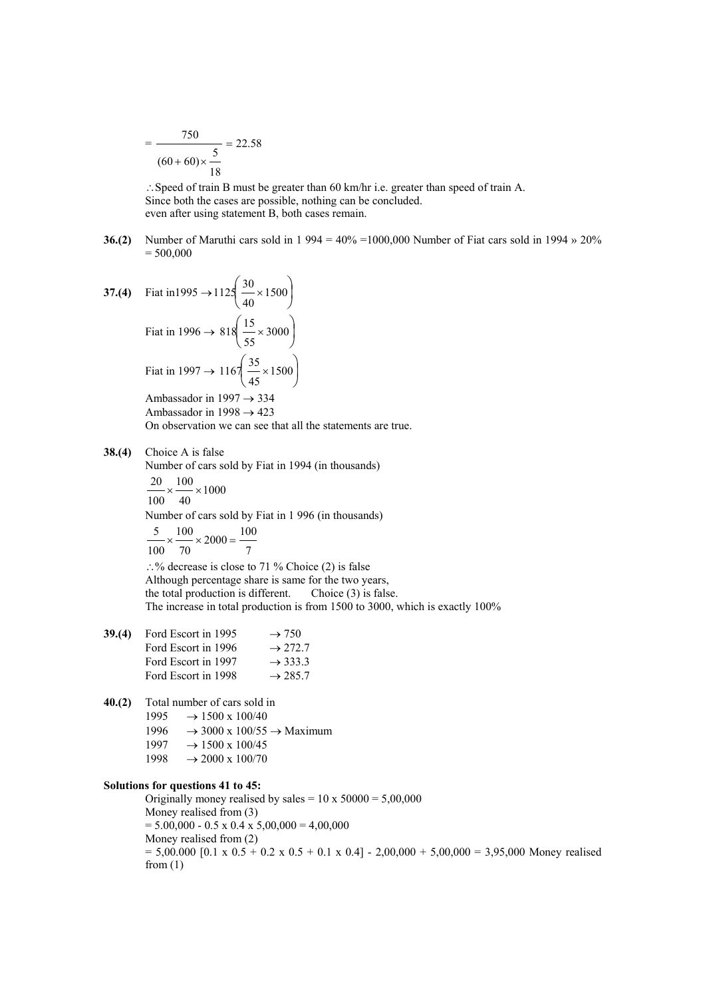$$
= \frac{750}{(60+60)\times\frac{5}{18}} = 22.58
$$

∴Speed of train B must be greater than 60 km/hr i.e. greater than speed of train A. Since both the cases are possible, nothing can be concluded. even after using statement B, both cases remain.

**36.(2)** Number of Maruthi cars sold in 1 994 = 40% =1000,000 Number of Fiat cars sold in 1994 » 20%  $= 500,000$ 

37. (4) Fit in 1995 
$$
\rightarrow
$$
 1125 $\left(\frac{30}{40} \times 1500\right)$   
Fit at in 1996  $\rightarrow$  818 $\left(\frac{15}{55} \times 3000\right)$   
Fit at in 1997  $\rightarrow$  1167 $\left(\frac{35}{45} \times 1500\right)$ 

Ambassador in 1997  $\rightarrow$  334 Ambassador in 1998  $\rightarrow$  423 On observation we can see that all the statements are true.

### **38.(4)** Choice A is false

Number of cars sold by Fiat in 1994 (in thousands)

 $\times \frac{100}{100} \times 1000$ 40 100 100 20 Number of cars sold by Fiat in 1 996 (in thousands) 7  $2000 = \frac{100}{ }$ 70 100 100  $\frac{5}{2}$   $\times \frac{100}{2000}$   $\times 2000$  = ∴% decrease is close to 71 % Choice (2) is false

Although percentage share is same for the two years, the total production is different. Choice (3) is false. The increase in total production is from 1500 to 3000, which is exactly 100%

- **39.(4)** Ford Escort in 1995  $\rightarrow$  750 Ford Escort in 1996  $\rightarrow$  272.7 Ford Escort in 1997  $\rightarrow$  333.3 Ford Escort in 1998  $\rightarrow$  285.7
- **40.(2)** Total number of cars sold in
	- 1995  $\rightarrow$  1500 x 100/40
	- 1996  $\rightarrow$  3000 x 100/55  $\rightarrow$  Maximum
	- $1997 \rightarrow 1500 \times 100/45$
	- $1998 \rightarrow 2000 \times 100/70$

### **Solutions for questions 41 to 45:**

Originally money realised by sales =  $10 \times 50000 = 5,00,000$ Money realised from (3)  $= 5.00,000 - 0.5 \times 0.4 \times 5,00,000 = 4,00,000$ Money realised from (2)  $= 5,00.000$  [0.1 x 0.5 + 0.2 x 0.5 + 0.1 x 0.4] - 2,00,000 + 5,00,000 = 3,95,000 Money realised from  $(1)$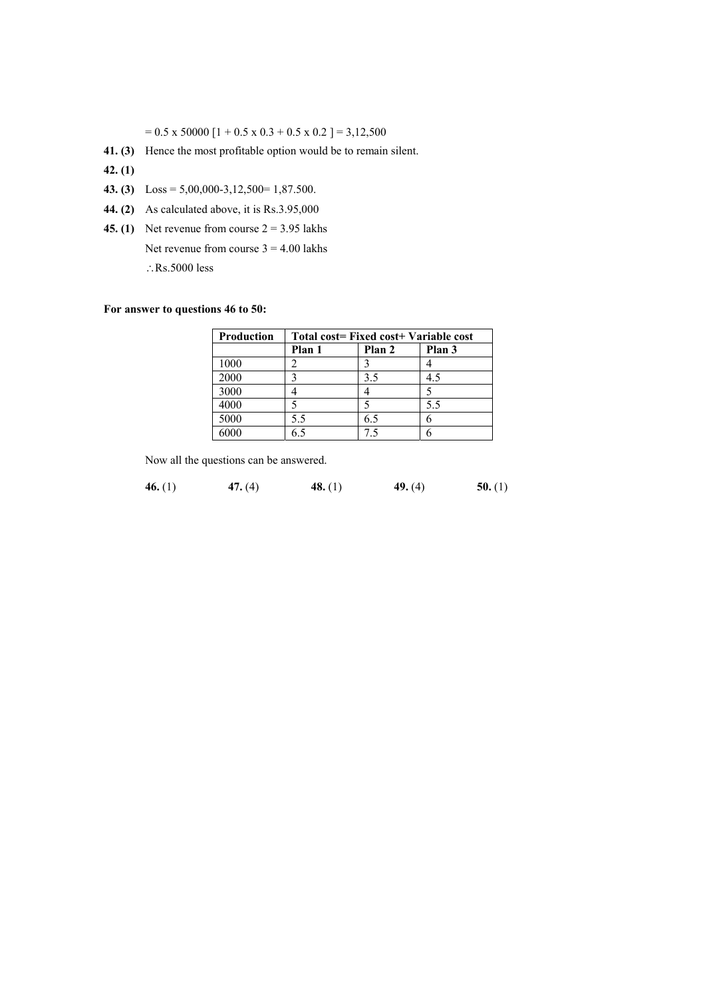$= 0.5 \times 50000$  [1 + 0.5 x 0.3 + 0.5 x 0.2 ] = 3,12,500

- **41. (3)** Hence the most profitable option would be to remain silent.
- **42. (1)**
- **43. (3)** Loss = 5,00,000-3,12,500= 1,87.500.
- **44. (2)** As calculated above, it is Rs.3.95,000
- **45. (1)** Net revenue from course  $2 = 3.95$  lakhs
	- Net revenue from course  $3 = 4.00$  lakhs
	- ∴Rs.5000 less

## **For answer to questions 46 to 50:**

| <b>Production</b> | Total cost= Fixed cost+ Variable cost |        |        |  |  |  |  |
|-------------------|---------------------------------------|--------|--------|--|--|--|--|
|                   | Plan 1                                | Plan 2 | Plan 3 |  |  |  |  |
| 1000              |                                       |        |        |  |  |  |  |
| 2000              |                                       | 3.5    | 4.5    |  |  |  |  |
| 3000              |                                       |        |        |  |  |  |  |
| 4000              |                                       |        | 5.5    |  |  |  |  |
| 5000              | 5.5                                   | 6.5    | h      |  |  |  |  |
|                   |                                       |        |        |  |  |  |  |

Now all the questions can be answered.

**46.** (1) **47.** (4) **48.** (1) **49.** (4) **50.** (1)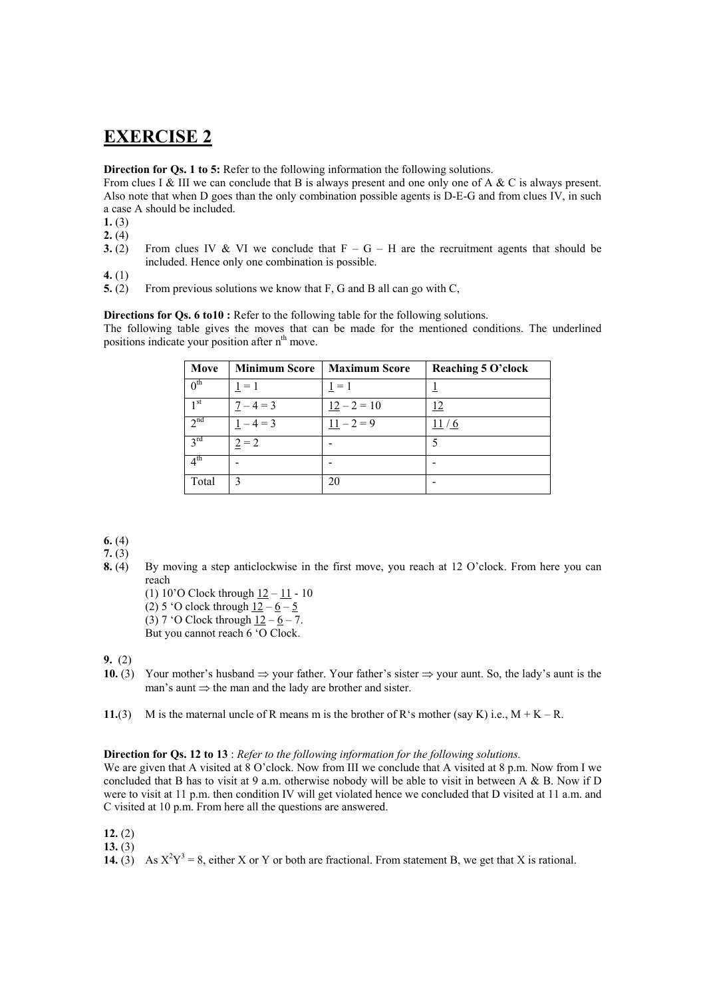# **EXERCISE 2**

**Direction for Qs. 1 to 5:** Refer to the following information the following solutions.

From clues I & III we can conclude that B is always present and one only one of A & C is always present. Also note that when D goes than the only combination possible agents is D-E-G and from clues IV, in such a case A should be included.

- 1. $(3)$
- **2.**  $(4)$
- **3.** (2) From clues IV & VI we conclude that  $F G H$  are the recruitment agents that should be included. Hence only one combination is possible.
- **4.** (1)
- **5.** (2) From previous solutions we know that F, G and B all can go with C,

**Directions for Qs. 6 to10 :** Refer to the following table for the following solutions.

The following table gives the moves that can be made for the mentioned conditions. The underlined positions indicate your position after n<sup>th</sup> move.

| Move            | <b>Minimum Score</b> | <b>Maximum Score</b> | Reaching 5 O'clock |
|-----------------|----------------------|----------------------|--------------------|
| 0 <sup>th</sup> | $1 = 1$              | $1 = 1$              |                    |
| 1 <sup>st</sup> | $7 - 4 = 3$          | $12 - 2 = 10$        | <u>12</u>          |
| 2 <sup>nd</sup> | $-4=3$               | $11 - 2 = 9$         | 11                 |
| $3^{\text{rd}}$ | $2 = 2$              |                      |                    |
| $4^{\text{th}}$ |                      |                      |                    |
| Total           | 3                    | 20                   |                    |

**6.** (4)

**7.** (3)

**8.** (4) By moving a step anticlockwise in the first move, you reach at 12 O'clock. From here you can reach

(1) 10'O Clock through 12 – 11 - 10 (2) 5 'O clock through  $12 - 6 - 5$ 

(3) 7 'O Clock through  $12 - 6 - 7$ .

But you cannot reach 6 'O Clock.

**9.** (2)

**10.** (3) Your mother's husband ⇒ your father. Your father's sister ⇒ your aunt. So, the lady's aunt is the man's aunt ⇒ the man and the lady are brother and sister.

**11.**(3) M is the maternal uncle of R means m is the brother of R's mother (say K) i.e.,  $M + K - R$ .

### **Direction for Qs. 12 to 13** : *Refer to the following information for the following solutions.*

We are given that A visited at 8 O'clock. Now from III we conclude that A visited at 8 p.m. Now from I we concluded that B has to visit at 9 a.m. otherwise nobody will be able to visit in between A & B. Now if D were to visit at 11 p.m. then condition IV will get violated hence we concluded that D visited at 11 a.m. and C visited at 10 p.m. From here all the questions are answered.

- **12.** (2)
- **13.** (3)
- **14.** (3) As  $X^2Y^3 = 8$ , either X or Y or both are fractional. From statement B, we get that X is rational.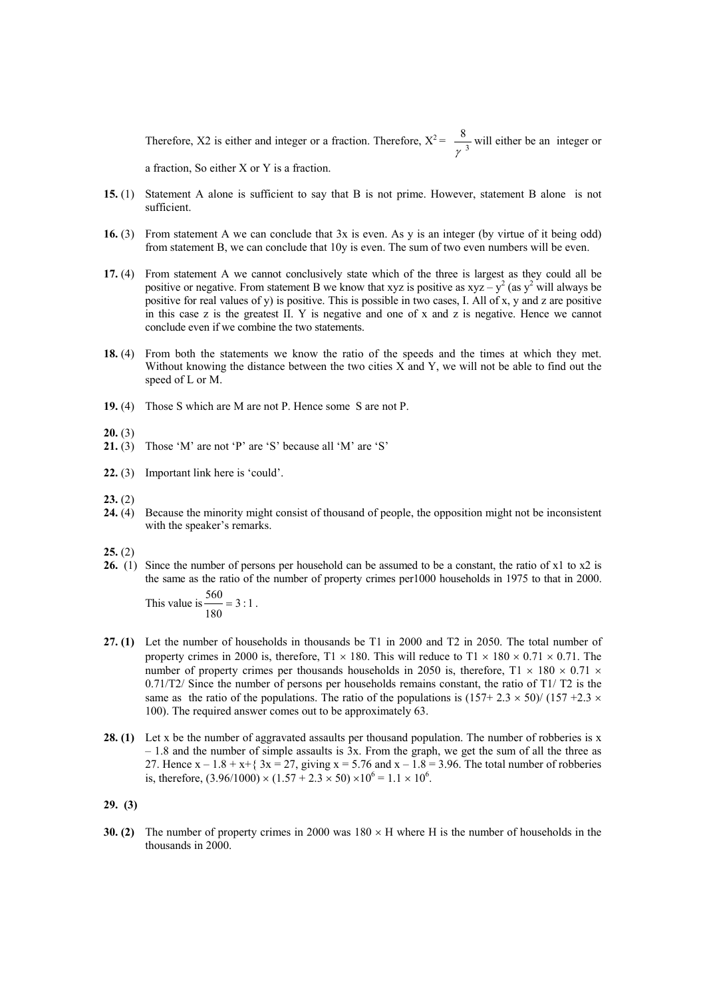Therefore, X2 is either and integer or a fraction. Therefore,  $X^2 = \frac{8}{\pi^3}$ γ will either be an integer or a fraction, So either X or Y is a fraction.

**15.** (1) Statement A alone is sufficient to say that B is not prime. However, statement B alone is not sufficient.

- **16.** (3) From statement A we can conclude that 3x is even. As y is an integer (by virtue of it being odd) from statement B, we can conclude that 10y is even. The sum of two even numbers will be even.
- **17.** (4) From statement A we cannot conclusively state which of the three is largest as they could all be positive or negative. From statement B we know that xyz is positive as  $xyz - y^2$  (as  $y^2$  will always be positive for real values of y) is positive. This is possible in two cases, I. All of x, y and z are positive in this case z is the greatest II. Y is negative and one of x and z is negative. Hence we cannot conclude even if we combine the two statements.
- **18.** (4) From both the statements we know the ratio of the speeds and the times at which they met. Without knowing the distance between the two cities X and Y, we will not be able to find out the speed of L or M.
- **19.** (4) Those S which are M are not P. Hence some S are not P.
- **20.** (3)
- **21.** (3) Those 'M' are not 'P' are 'S' because all 'M' are 'S'
- **22.** (3) Important link here is 'could'.
- **23.** (2)
- **24.** (4) Because the minority might consist of thousand of people, the opposition might not be inconsistent with the speaker's remarks.
- **25.** (2)
- **26.** (1) Since the number of persons per household can be assumed to be a constant, the ratio of x1 to x2 is the same as the ratio of the number of property crimes per1000 households in 1975 to that in 2000.

This value is  $\frac{1}{2} = 3 : 1$ 180  $\frac{560}{1}$  = 3 : 1.

- **27. (1)** Let the number of households in thousands be T1 in 2000 and T2 in 2050. The total number of property crimes in 2000 is, therefore,  $T1 \times 180$ . This will reduce to  $T1 \times 180 \times 0.71 \times 0.71$ . The number of property crimes per thousands households in 2050 is, therefore,  $T1 \times 180 \times 0.71 \times$  $0.71/T2$  Since the number of persons per households remains constant, the ratio of T1/T2 is the same as the ratio of the populations. The ratio of the populations is  $(157+2.3 \times 50)/(157 +2.3 \times$ 100). The required answer comes out to be approximately 63.
- **28. (1)** Let x be the number of aggravated assaults per thousand population. The number of robberies is x – 1.8 and the number of simple assaults is 3x. From the graph, we get the sum of all the three as 27. Hence  $x - 1.8 + x + 3x = 27$ , giving  $x = 5.76$  and  $x - 1.8 = 3.96$ . The total number of robberies is, therefore,  $(3.96/1000) \times (1.57 + 2.3 \times 50) \times 10^6 = 1.1 \times 10^6$ .
- **29. (3)**
- **30. (2)** The number of property crimes in 2000 was 180 × H where H is the number of households in the thousands in 2000.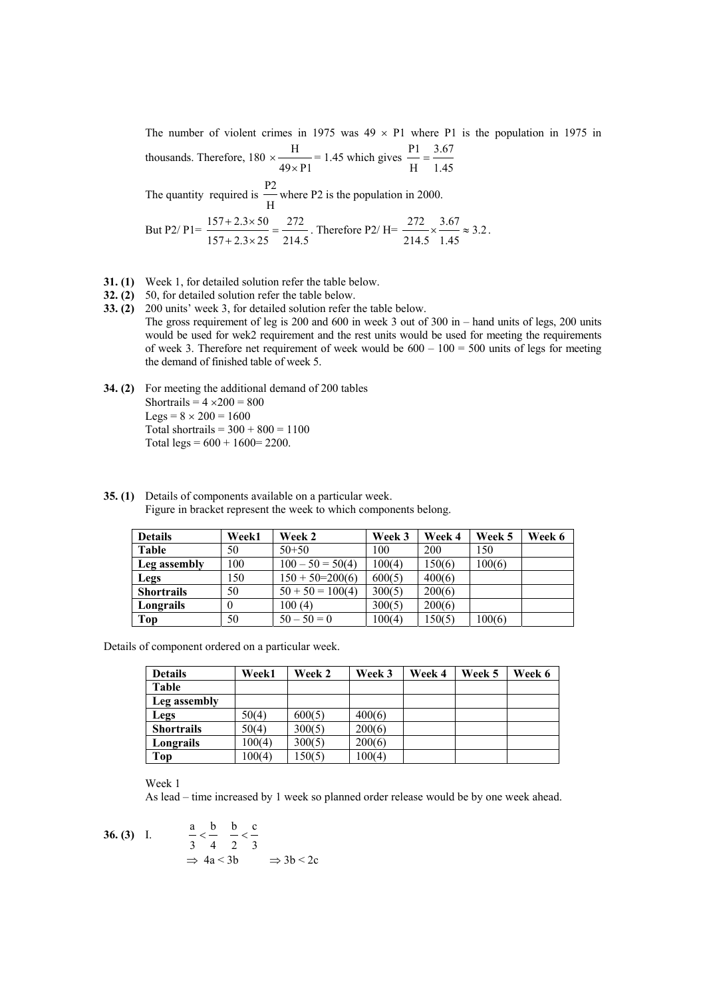The number of violent crimes in 1975 was  $49 \times$  P1 where P1 is the population in 1975 in thousands. Therefore, 180  $49 \times P1$  $\times \frac{H}{49 \times P1}$  = 1.45 which gives  $\frac{P1}{H} = \frac{3.67}{1.45}$ 3.67 H  $\frac{P1}{P}$  =

 The quantity required is H P2 where P2 is the population in 2000.

But P2/P1=
$$
\frac{157+2.3\times50}{157+2.3\times25}
$$
 =  $\frac{272}{214.5}$ . Therefore P2/H= $\frac{272}{214.5}\times\frac{3.67}{1.45}\approx 3.2$ .

- **31. (1)** Week 1, for detailed solution refer the table below.
- **32. (2)** 50, for detailed solution refer the table below.
- **33. (2)** 200 units' week 3, for detailed solution refer the table below. The gross requirement of leg is 200 and 600 in week 3 out of 300 in – hand units of legs, 200 units would be used for wek2 requirement and the rest units would be used for meeting the requirements of week 3. Therefore net requirement of week would be  $600 - 100 = 500$  units of legs for meeting the demand of finished table of week 5.
- **34. (2)** For meeting the additional demand of 200 tables Shortrails =  $4 \times 200 = 800$ Legs =  $8 \times 200 = 1600$ Total shortrails =  $300 + 800 = 1100$ Total legs =  $600 + 1600 = 2200$ .

| <b>Details</b>    | Week1 | Week 2              | Week 3 | Week 4 | Week 5 | Week 6 |
|-------------------|-------|---------------------|--------|--------|--------|--------|
| Table             | 50    | $50 + 50$           | 100    | 200    | 150    |        |
| Leg assembly      | 100   | $100 - 50 = 50(4)$  | 100(4) | 150(6) | 100(6) |        |
| Legs              | 150   | $150 + 50 = 200(6)$ | 600(5) | 400(6) |        |        |
| <b>Shortrails</b> | 50    | $50 + 50 = 100(4)$  | 300(5) | 200(6) |        |        |
| Longrails         |       | 100(4)              | 300(5) | 200(6) |        |        |
| Top               | 50    | $50 - 50 = 0$       | 100(4) | 150(5) | 100(6) |        |

**35. (1)** Details of components available on a particular week. Figure in bracket represent the week to which components belong.

Details of component ordered on a particular week.

| <b>Details</b>    | <b>Week1</b> | Week 2 | Week 3 | Week 4 | Week 5 | Week 6 |
|-------------------|--------------|--------|--------|--------|--------|--------|
| Table             |              |        |        |        |        |        |
| Leg assembly      |              |        |        |        |        |        |
| Legs              | 50(4)        | 600(5) | 400(6) |        |        |        |
| <b>Shortrails</b> | 50(4)        | 300(5) | 200(6) |        |        |        |
| Longrails         | 100(4)       | 300(5) | 200(6) |        |        |        |
| Top               | 100(4)       | 150(5) | 100(4) |        |        |        |

Week 1

As lead – time increased by 1 week so planned order release would be by one week ahead.

36. (3) I. 
$$
\frac{a}{3} < \frac{b}{4} < \frac{b}{2} < \frac{c}{3}
$$

$$
\Rightarrow 4a < 3b \Rightarrow 3b < 2c
$$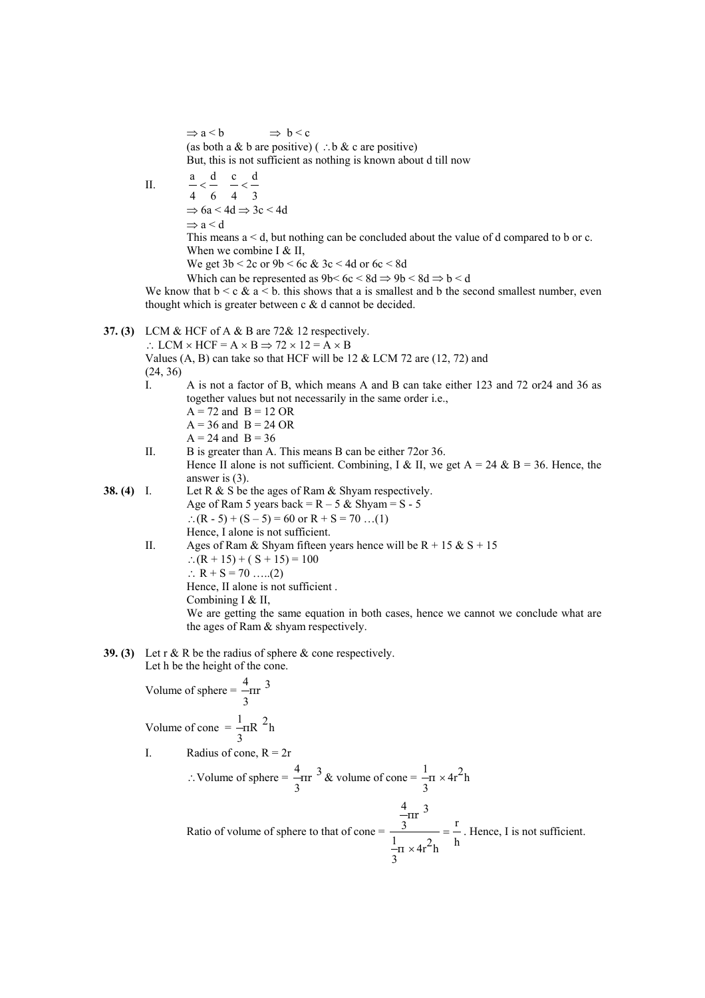(as both a & b are positive) ( $\therefore$  b & c are positive) But, this is not sufficient as nothing is known about d till now II. 6 d 4  $\frac{a}{4} < \frac{d}{6}$   $\frac{c}{4} < \frac{d}{3}$ 4  $\frac{c}{-}$  $\Rightarrow$  6a < 4d  $\Rightarrow$  3c < 4d  $\Rightarrow$ a $<$ d This means a < d, but nothing can be concluded about the value of d compared to b or c. When we combine I  $&$  II, We get  $3b < 2c$  or  $9b < 6c$  &  $3c < 4d$  or  $6c < 8d$ Which can be represented as  $9b < 6c < 8d \Rightarrow 9b < 8d \Rightarrow b < d$ We know that  $b < c \& a < b$ , this shows that a is smallest and b the second smallest number, even

### **37. (3)** LCM & HCF of A & B are 72& 12 respectively.

 $\Rightarrow$  a < b  $\Rightarrow$  b < c

∴ LCM  $\times$  HCF = A  $\times$  B  $\Rightarrow$  72  $\times$  12 = A  $\times$  B Values  $(A, B)$  can take so that HCF will be 12  $& LCM$  72 are (12, 72) and

thought which is greater between  $c \& d$  cannot be decided.

(24, 36)

I. A is not a factor of B, which means A and B can take either 123 and 72 or24 and 36 as together values but not necessarily in the same order i.e.,

$$
A = 72 \text{ and } B = 12 \text{ OR}
$$

- $A = 36$  and  $B = 24$  OR
- $A = 24$  and  $B = 36$
- II. B is greater than A. This means B can be either 72or 36. Hence II alone is not sufficient. Combining, I & II, we get  $A = 24$  & B = 36. Hence, the answer is (3).
- **38. (4)** I. Let R & S be the ages of Ram & Shyam respectively. Age of Ram 5 years back =  $R - 5$  & Shyam = S - 5 ∴(R - 5) + (S – 5) = 60 or R + S = 70 …(1) Hence, I alone is not sufficient.
	- II. Ages of Ram & Shyam fifteen years hence will be  $R + 15 & S + 15$ ∴(R + 15) + ( S + 15) = 100 ∴ R + S = 70 …..(2) Hence, II alone is not sufficient . Combining I & II, We are getting the same equation in both cases, hence we cannot we conclude what are the ages of Ram & shyam respectively.
- **39. (3)** Let r & R be the radius of sphere & cone respectively. Let h be the height of the cone.

Volume of sphere = 
$$
\frac{4}{3}
$$
rr<sup>3</sup>  
Volume of cone =  $-\text{tr}^2 h$ 

3

I. Radius of cone,  $R = 2r$ 

$$
\therefore \text{Volume of sphere} = \frac{4}{3} \text{Tr}^3 \& \text{ volume of cone} = \frac{1}{3} \times 4 \text{r}^2 \text{h}
$$

 Ratio of volume of sphere to that of cone = h r  $\pi \times 4r^2$ h 3 1 3 πr 3 4 = × . Hence, I is not sufficient.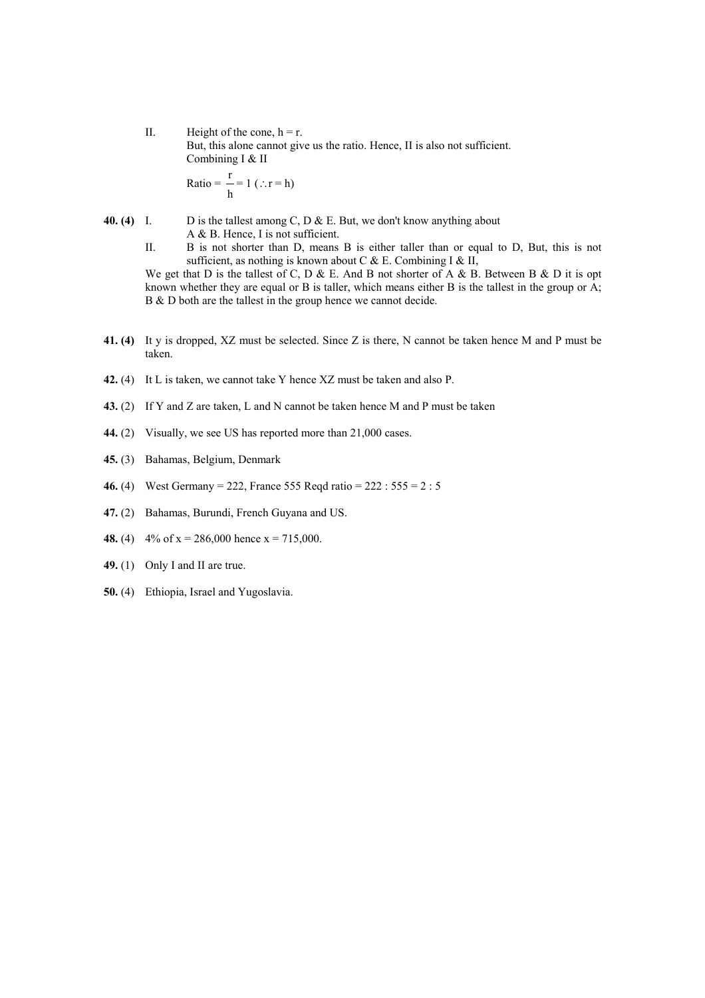II. Height of the cone,  $h = r$ . But, this alone cannot give us the ratio. Hence, II is also not sufficient. Combining I & II r

Ratio = 
$$
\frac{1}{h}
$$
 = 1 (.:r = h)

- **40. (4)** I. D is the tallest among C, D & E. But, we don't know anything about A & B. Hence, I is not sufficient.
	- II. B is not shorter than D, means B is either taller than or equal to D, But, this is not sufficient, as nothing is known about C & E. Combining I & II, We get that D is the tallest of C, D & E. And B not shorter of A & B. Between B & D it is opt

known whether they are equal or B is taller, which means either B is the tallest in the group or  $\overrightarrow{A}$ ; B & D both are the tallest in the group hence we cannot decide.

- **41. (4)** It y is dropped, XZ must be selected. Since Z is there, N cannot be taken hence M and P must be taken.
- **42.** (4) It L is taken, we cannot take Y hence XZ must be taken and also P.
- **43.** (2) If Y and Z are taken, L and N cannot be taken hence M and P must be taken
- **44.** (2) Visually, we see US has reported more than 21,000 cases.
- **45.** (3) Bahamas, Belgium, Denmark
- **46.** (4) West Germany = 222, France 555 Reqd ratio = 222 : 555 = 2 : 5
- **47.** (2) Bahamas, Burundi, French Guyana and US.
- **48.** (4)  $4\% \text{ of } x = 286,000 \text{ hence } x = 715,000.$
- **49.** (1) Only I and II are true.
- **50.** (4) Ethiopia, Israel and Yugoslavia.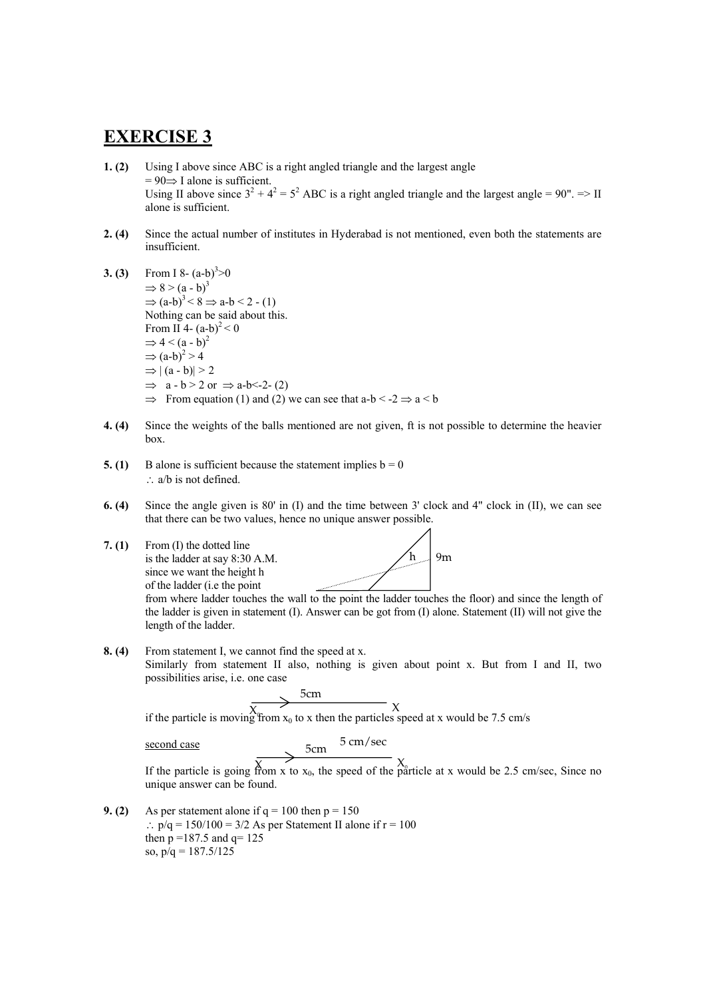# **EXERCISE 3**

- **1. (2)** Using I above since ABC is a right angled triangle and the largest angle  $= 90 \Rightarrow$  I alone is sufficient. Using II above since  $3^2 + 4^2 = 5^2$  ABC is a right angled triangle and the largest angle = 90". => II alone is sufficient.
- **2. (4)** Since the actual number of institutes in Hyderabad is not mentioned, even both the statements are insufficient.
- **3. (3)** From I 8-  $(a-b)^3>0$  $\Rightarrow$  8 > (a - b)<sup>3</sup>  $\Rightarrow$   $(a-b)^3$  < 8  $\Rightarrow$  a-b < 2 - (1) Nothing can be said about this. From II 4-  $(a-b)^2 < 0$  $\Rightarrow$  4 < (a - b)<sup>2</sup>  $\Rightarrow$   $(a-b)^2 > 4$  $\Rightarrow$   $|(a - b)| > 2$  $\Rightarrow$  a - b > 2 or  $\Rightarrow$  a-b < -2 - (2)  $\Rightarrow$  From equation (1) and (2) we can see that a-b < -2  $\Rightarrow$  a < b
- **4. (4)** Since the weights of the balls mentioned are not given, ft is not possible to determine the heavier box.
- **5. (1)** B alone is sufficient because the statement implies  $b = 0$ ∴ a/b is not defined.
- **6. (4)** Since the angle given is 80' in (I) and the time between 3' clock and 4" clock in (II), we can see that there can be two values, hence no unique answer possible.
- **7. (1)** From (I) the dotted line is the ladder at say 8:30 A.M. since we want the height h of the ladder (i.e the point

 $h = 9m$ 

from where ladder touches the wall to the point the ladder touches the floor) and since the length of the ladder is given in statement (I). Answer can be got from (I) alone. Statement (II) will not give the length of the ladder.

**8. (4)** From statement I, we cannot find the speed at x. Similarly from statement II also, nothing is given about point x. But from I and II, two possibilities arise, i.e. one case

$$
\longrightarrow^{\text{5cm}}
$$

if the particle is moving from  $x_0$  to x then the particles speed at x would be 7.5 cm/s

second case

 $5 \text{ cm}$ /sec

If the particle is going from x to  $x_0$ , the speed of the particle at x would be 2.5 cm/sec, Since no unique answer can be found.

**9. (2)** As per statement alone if  $q = 100$  then  $p = 150$ ∴  $p/a = 150/100 = 3/2$  As per Statement II alone if  $r = 100$ then  $p = 187.5$  and  $q = 125$ so,  $p/q = 187.5/125$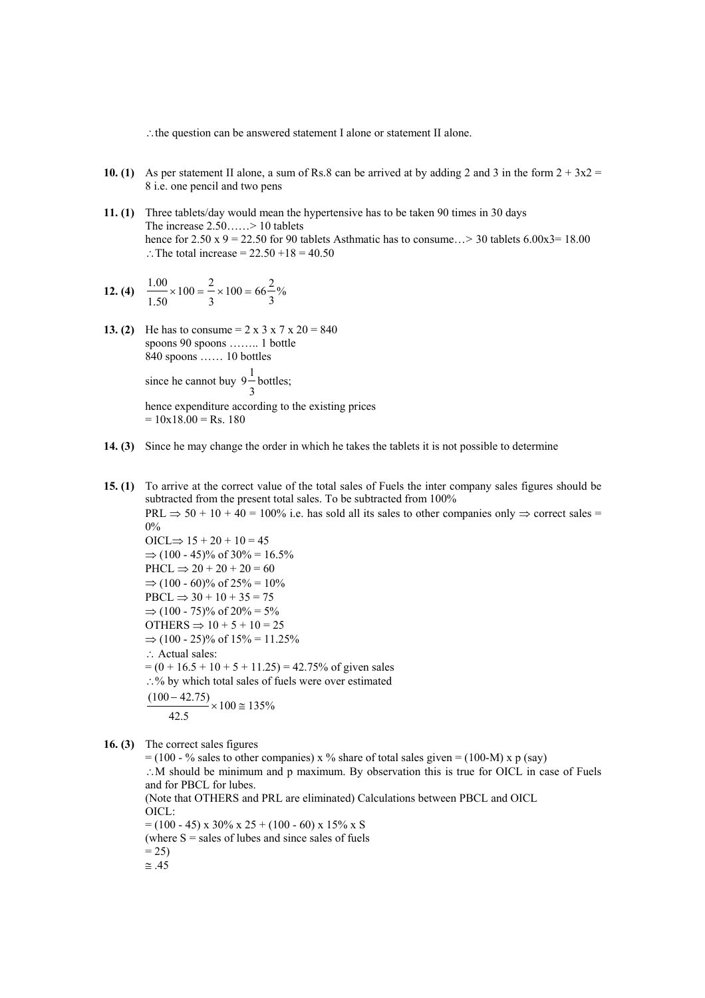∴the question can be answered statement I alone or statement II alone.

- **10. (1)** As per statement II alone, a sum of Rs.8 can be arrived at by adding 2 and 3 in the form  $2 + 3x2 =$ 8 i.e. one pencil and two pens
- **11. (1)** Three tablets/day would mean the hypertensive has to be taken 90 times in 30 days The increase 2.50……> 10 tablets hence for  $2.50 \times 9 = 22.50$  for 90 tablets Asthmatic has to consume... > 30 tablets  $6.00x3 = 18.00$ ∴The total increase =  $22.50 +18 = 40.50$

12. (4) 
$$
\frac{1.00}{1.50} \times 100 = \frac{2}{3} \times 100 = 66 \frac{2}{3} \%
$$

**13. (2)** He has to consume  $= 2 \times 3 \times 7 \times 20 = 840$ spoons 90 spoons …….. 1 bottle 840 spoons …… 10 bottles since he cannot buy 3  $9^{\text{-}}$ bottles; hence expenditure according to the existing prices

 $= 10x18.00 = Rs. 180$ 

- **14. (3)** Since he may change the order in which he takes the tablets it is not possible to determine
- **15. (1)** To arrive at the correct value of the total sales of Fuels the inter company sales figures should be subtracted from the present total sales. To be subtracted from 100% PRL  $\Rightarrow$  50 + 10 + 40 = 100% i.e. has sold all its sales to other companies only  $\Rightarrow$  correct sales = 0% OICL $\Rightarrow$  15 + 20 + 10 = 45 ⇒  $(100 - 45)$ % of 30% = 16.5%  $PHCL \implies 20 + 20 + 20 = 60$  $\Rightarrow$  (100 - 60)% of 25% = 10%  $PBCL \Rightarrow 30 + 10 + 35 = 75$ ⇒  $(100 - 75)$ % of  $20\% = 5\%$ OTHERS  $\Rightarrow$  10 + 5 + 10 = 25  $\Rightarrow$  (100 - 25)% of 15% = 11.25% ∴ Actual sales:  $= (0 + 16.5 + 10 + 5 + 11.25) = 42.75\%$  of given sales ∴% by which total sales of fuels were over estimated  $100 \approx 135\%$ 42.5  $\frac{(100 - 42.75)}{2} \times 100 \approx 135\%$
- **16. (3)** The correct sales figures

 $= (100 - %$  sales to other companies) x % share of total sales given  $= (100-M)$  x p (say) ∴M should be minimum and p maximum. By observation this is true for OICL in case of Fuels and for PBCL for lubes. (Note that OTHERS and PRL are eliminated) Calculations between PBCL and OICL OICL:  $= (100 - 45) \times 30\% \times 25 + (100 - 60) \times 15\% \times S$ (where  $S =$  sales of lubes and since sales of fuels  $= 25$  $\approx .45$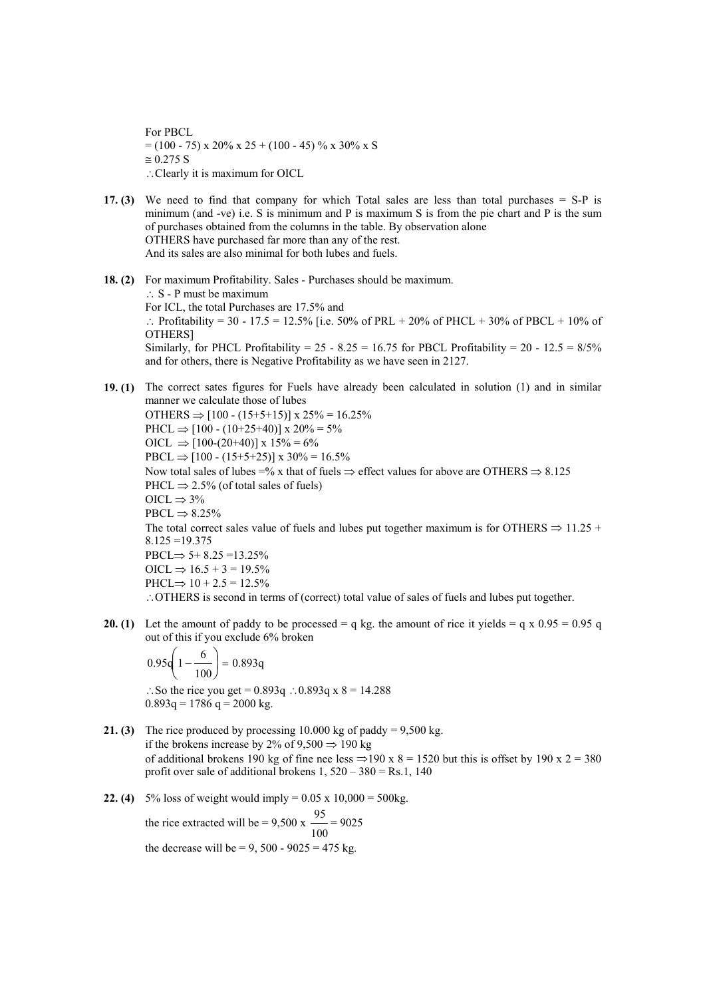For PBCL  $= (100 - 75) \times 20\% \times 25 + (100 - 45) \% \times 30\% \times S$  $\approx 0.275$  S ∴Clearly it is maximum for OICL

- **17. (3)** We need to find that company for which Total sales are less than total purchases = S-P is minimum (and -ve) i.e. S is minimum and P is maximum S is from the pie chart and P is the sum of purchases obtained from the columns in the table. By observation alone OTHERS have purchased far more than any of the rest. And its sales are also minimal for both lubes and fuels.
- **18. (2)** For maximum Profitability. Sales Purchases should be maximum. ∴ S - P must be maximum For ICL, the total Purchases are 17.5% and ∴ Profitability = 30 - 17.5 = 12.5% [i.e. 50% of PRL + 20% of PHCL + 30% of PBCL + 10% of OTHERS] Similarly, for PHCL Profitability =  $25 - 8.25 = 16.75$  for PBCL Profitability =  $20 - 12.5 = 8/5\%$ and for others, there is Negative Profitability as we have seen in 2127.
- **19. (1)** The correct sates figures for Fuels have already been calculated in solution (1) and in similar manner we calculate those of lubes OTHERS  $\Rightarrow$  [100 - (15+5+15)] x 25% = 16.25% PHCL  $\Rightarrow$  [100 - (10+25+40)] x 20% = 5% OICL  $\Rightarrow$  [100-(20+40)] x 15% = 6% PBCL  $\Rightarrow$  [100 - (15+5+25)] x 30% = 16.5% Now total sales of lubes =% x that of fuels  $\Rightarrow$  effect values for above are OTHERS  $\Rightarrow$  8.125 PHCL  $\Rightarrow$  2.5% (of total sales of fuels)  $OICL \Rightarrow 3\%$  $\text{PBCL} \Rightarrow 8.25\%$ The total correct sales value of fuels and lubes put together maximum is for OTHERS  $\Rightarrow$  11.25 + 8.125 =19.375  $\text{PBCL} \Rightarrow 5+8.25 = 13.25\%$  $OICL \Rightarrow 16.5 + 3 = 19.5\%$  $PHCL \implies 10 + 2.5 = 12.5\%$ ∴OTHERS is second in terms of (correct) total value of sales of fuels and lubes put together.
- **20. (1)** Let the amount of paddy to be processed = q kg. the amount of rice it yields = q x  $0.95 = 0.95$  q out of this if you exclude 6% broken

$$
0.95 \left( 1 - \frac{6}{100} \right) = 0.893 q
$$

∴So the rice you get =  $0.893q$  ∴  $0.893q$  x  $8 = 14.288$  $0.893q = 1786 q = 2000 kg$ .

- **21. (3)** The rice produced by processing  $10.000$  kg of paddy =  $9,500$  kg. if the brokens increase by 2% of  $9,500 \Rightarrow 190 \text{ kg}$ of additional brokens 190 kg of fine nee less  $\Rightarrow$ 190 x 8 = 1520 but this is offset by 190 x 2 = 380 profit over sale of additional brokens  $1, 520 - 380 = Rs.1, 140$
- **22. (4)**  $5\%$  loss of weight would imply =  $0.05 \times 10,000 = 500$ kg. the rice extracted will be =  $9,500 \text{ x}$ 100  $\frac{95}{6}$  = 9025 the decrease will be  $= 9, 500 - 9025 = 475$  kg.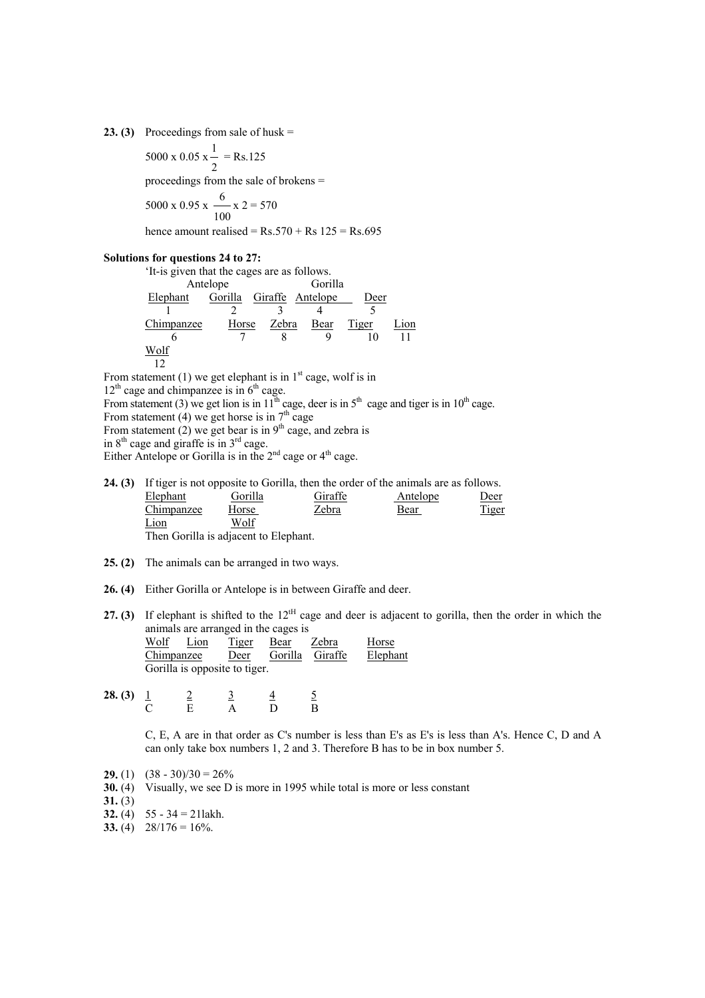**23. (3)** Proceedings from sale of husk =

$$
5000 \times 0.05 \times \frac{1}{2} = \text{Rs.}125
$$
  
proceedings from the sale of brokens =  

$$
5000 \times 0.95 \times \frac{6}{100} \times 2 = 570
$$

hence amount realised =  $Rs.570 + Rs 125 = Rs.695$ 

### **Solutions for questions 24 to 27:**

'It-is given that the cages are as follows.

|            | Antelope | Gorilla |                  |       |     |  |
|------------|----------|---------|------------------|-------|-----|--|
| Elephant   | Gorilla  |         | Giraffe Antelope | Deer  |     |  |
|            |          |         |                  |       |     |  |
| Chimpanzee | Horse    | Zebra   | Bear             | Tiger | ion |  |
| h          |          |         |                  |       |     |  |
| Wolf       |          |         |                  |       |     |  |
|            |          |         |                  |       |     |  |

From statement (1) we get elephant is in  $1<sup>st</sup>$  cage, wolf is in

 $12<sup>th</sup>$  cage and chimpanzee is in  $6<sup>th</sup>$  cage.

From statement (3) we get lion is in  $11<sup>th</sup>$  cage, deer is in  $5<sup>th</sup>$  cage and tiger is in  $10<sup>th</sup>$  cage.

From statement (4) we get horse is in  $7<sup>th</sup>$  cage

From statement (2) we get bear is in  $9<sup>th</sup>$  cage, and zebra is

in  $8<sup>th</sup>$  cage and giraffe is in  $3<sup>rd</sup>$  cage.

Either Antelope or Gorilla is in the  $2<sup>nd</sup>$  cage or  $4<sup>th</sup>$  cage.

|                                                                |         | <b>24. (3)</b> If tiger is not opposite to Gorilla, then the order of the animals are as follows. |             |              |
|----------------------------------------------------------------|---------|---------------------------------------------------------------------------------------------------|-------------|--------------|
| Elephant                                                       | Gorilla | Giraffe                                                                                           | Antelope    | Deer         |
| Chimpanzee                                                     | Horse   | Zebra                                                                                             | <u>Bear</u> | <b>Tiger</b> |
| Lion                                                           | Wolf    |                                                                                                   |             |              |
| $\Gamma$ lean $\Gamma$ eaille is e diaeant ta $\Gamma$ leabant |         |                                                                                                   |             |              |

Then Gorilla is adjacent to Elephant.

- **25. (2)** The animals can be arranged in two ways.
- **26. (4)** Either Gorilla or Antelope is in between Giraffe and deer.
- **27. (3)** If elephant is shifted to the 12<sup>tH</sup> cage and deer is adjacent to gorilla, then the order in which the animals are arranged in the cages is

| Wolf       | Lion | <b>Tiger</b>                  | Bear | Zebra           | Horse    |
|------------|------|-------------------------------|------|-----------------|----------|
| Chimpanzee |      | Deer                          |      | Gorilla Giraffe | Elephant |
|            |      | Gorilla is opposite to tiger. |      |                 |          |

**28. (3)** <u>1 2 3 4 5</u> C E A D B

> C, E, A are in that order as C's number is less than E's as E's is less than A's. Hence C, D and A can only take box numbers 1, 2 and 3. Therefore B has to be in box number 5.

- **29.** (1)  $(38 30)/30 = 26\%$
- **30.** (4) Visually, we see D is more in 1995 while total is more or less constant
- $31. (3)$
- **32.** (4)  $55 34 = 21 \text{lakh}$ .
- **33.** (4)  $28/176 = 16\%$ .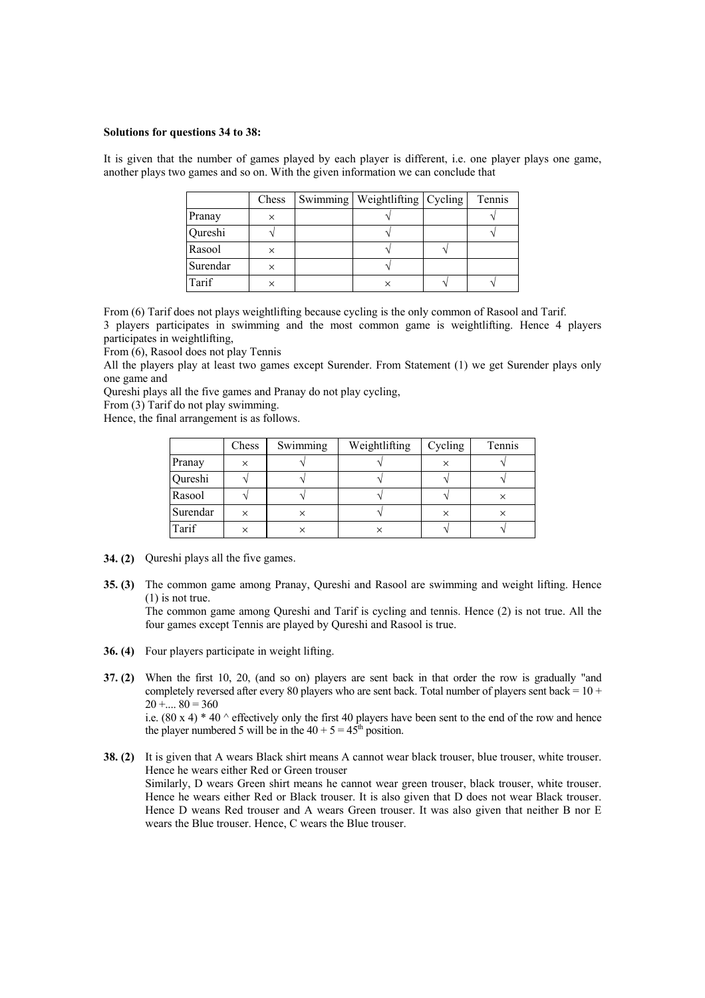#### **Solutions for questions 34 to 38:**

It is given that the number of games played by each player is different, i.e. one player plays one game, another plays two games and so on. With the given information we can conclude that

|          | Chess    | Swimming   Weightlifting   Cycling | Tennis |
|----------|----------|------------------------------------|--------|
| Pranay   |          |                                    |        |
| Qureshi  |          |                                    |        |
| Rasool   | $\times$ |                                    |        |
| Surendar |          |                                    |        |
| Tarif    |          |                                    |        |

From (6) Tarif does not plays weightlifting because cycling is the only common of Rasool and Tarif. 3 players participates in swimming and the most common game is weightlifting. Hence 4 players participates in weightlifting,

From (6), Rasool does not play Tennis

All the players play at least two games except Surender. From Statement (1) we get Surender plays only one game and

Qureshi plays all the five games and Pranay do not play cycling,

From (3) Tarif do not play swimming.

Hence, the final arrangement is as follows.

|          | Chess | Swimming | Weightlifting | Cycling  | Tennis |
|----------|-------|----------|---------------|----------|--------|
| Pranay   | ×     |          |               | $\times$ |        |
| Qureshi  |       |          |               |          |        |
| Rasool   |       |          |               |          |        |
| Surendar |       |          |               |          | ×      |
| Tarif    |       |          |               |          |        |

- **34. (2)** Qureshi plays all the five games.
- **35. (3)** The common game among Pranay, Qureshi and Rasool are swimming and weight lifting. Hence (1) is not true.

The common game among Qureshi and Tarif is cycling and tennis. Hence (2) is not true. All the four games except Tennis are played by Qureshi and Rasool is true.

- **36. (4)** Four players participate in weight lifting.
- **37. (2)** When the first 10, 20, (and so on) players are sent back in that order the row is gradually "and completely reversed after every 80 players who are sent back. Total number of players sent back =  $10 +$  $20 + \dots 80 = 360$ i.e.  $(80 \times 4) * 40$  ^ effectively only the first 40 players have been sent to the end of the row and hence

the player numbered 5 will be in the  $40 + 5 = 45<sup>th</sup>$  position.

**38. (2)** It is given that A wears Black shirt means A cannot wear black trouser, blue trouser, white trouser. Hence he wears either Red or Green trouser Similarly, D wears Green shirt means he cannot wear green trouser, black trouser, white trouser. Hence he wears either Red or Black trouser. It is also given that D does not wear Black trouser. Hence D weans Red trouser and A wears Green trouser. It was also given that neither B nor E wears the Blue trouser. Hence, C wears the Blue trouser.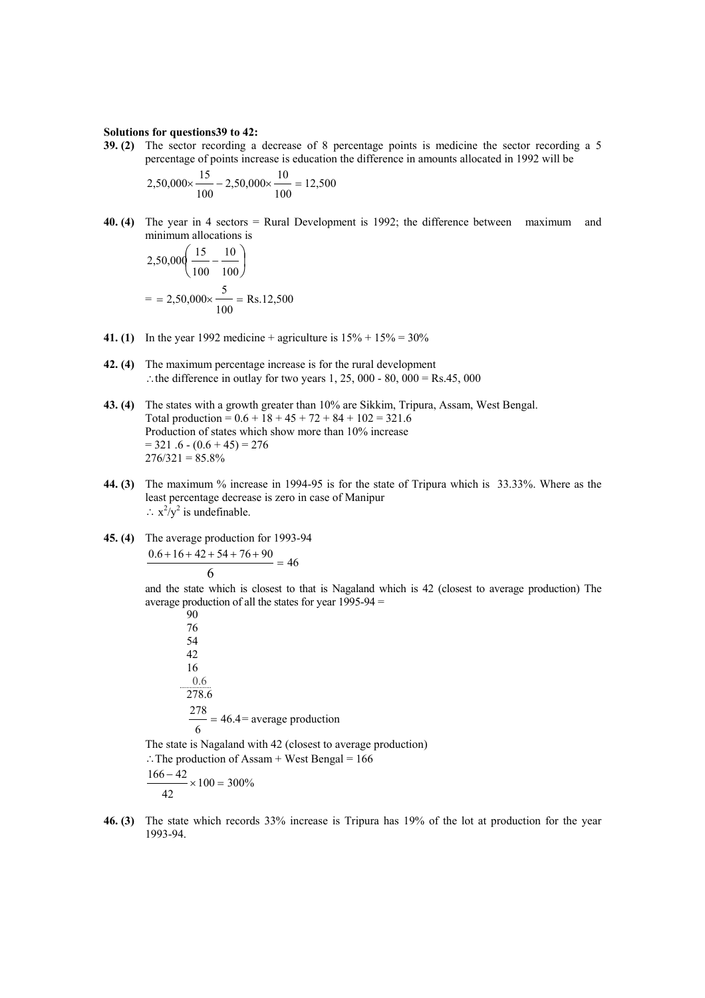#### **Solutions for questions39 to 42:**

**39. (2)** The sector recording a decrease of 8 percentage points is medicine the sector recording a 5 percentage of points increase is education the difference in amounts allocated in 1992 will be

$$
2,50,000 \times \frac{15}{100} - 2,50,000 \times \frac{10}{100} = 12,500
$$

**40. (4)** The year in 4 sectors = Rural Development is 1992; the difference between maximum and minimum allocations is

$$
2,50,000\left(\frac{15}{100} - \frac{10}{100}\right)
$$

$$
= 2,50,000 \times \frac{5}{100} = \text{Rs}.12,500
$$

- **41. (1)** In the year 1992 medicine + agriculture is  $15\% + 15\% = 30\%$
- **42. (4)** The maximum percentage increase is for the rural development ∴the difference in outlay for two years 1, 25, 000 - 80, 000 = Rs.45, 000
- **43. (4)** The states with a growth greater than 10% are Sikkim, Tripura, Assam, West Bengal. Total production =  $0.6 + 18 + 45 + 72 + 84 + 102 = 321.6$ Production of states which show more than 10% increase  $= 321.6 - (0.6 + 45) = 276$  $276/321 = 85.8\%$
- **44. (3)** The maximum % increase in 1994-95 is for the state of Tripura which is 33.33%. Where as the least percentage decrease is zero in case of Manipur ∴  $x^2/y^2$  is undefinable.
- **45. (4)** The average production for 1993-94

$$
\frac{0.6 + 16 + 42 + 54 + 76 + 90}{6} = 46
$$

and the state which is closest to that is Nagaland which is 42 (closest to average production) The average production of all the states for year  $1995-94 =$ 

90 76 54 42 16 0.6 278.6 46.4 6  $\frac{278}{2}$  = 46.4= average production

The state is Nagaland with 42 (closest to average production) ∴ The production of Assam + West Bengal =  $166$ 

$$
\frac{166-42}{\times} \times 100 = 300\%
$$

42

**46. (3)** The state which records 33% increase is Tripura has 19% of the lot at production for the year 1993-94.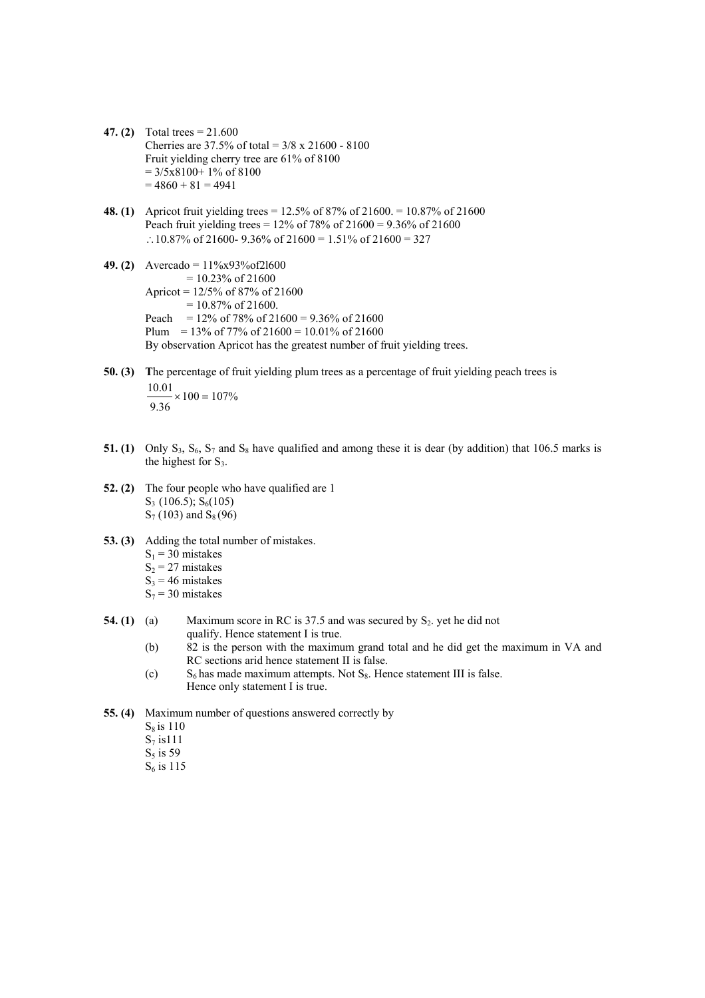- **47. (2)** Total trees = 21.600 Cherries are  $37.5\%$  of total =  $3/8 \times 21600 - 8100$ Fruit yielding cherry tree are 61% of 8100  $= 3/5x8100+ 1\% \text{ of } 8100$  $= 4860 + 81 = 4941$
- **48. (1)** Apricot fruit yielding trees = 12.5% of 87% of 21600. = 10.87% of 21600 Peach fruit yielding trees =  $12\%$  of 78% of  $21600 = 9.36\%$  of  $21600$ ∴10.87% of 21600- 9.36% of 21600 = 1.51% of 21600 = 327
- **49. (2)** Avercado = 11%x93%of2l600  $= 10.23\%$  of 21600 Apricot = 12/5% of 87% of 21600  $= 10.87\%$  of 21600. Peach =  $12\%$  of 78% of 21600 = 9.36% of 21600 Plum = 13% of 77% of 21600 = 10.01% of 21600 By observation Apricot has the greatest number of fruit yielding trees.
- **50. (3) T**he percentage of fruit yielding plum trees as a percentage of fruit yielding peach trees is  $100 = 107\%$ 9.36  $\frac{10.01}{\times}$  × 100 = 107%
- **51. (1)** Only  $S_3$ ,  $S_6$ ,  $S_7$  and  $S_8$  have qualified and among these it is dear (by addition) that 106.5 marks is the highest for  $S_3$ .
- **52. (2)** The four people who have qualified are 1  $S_3$  (106.5);  $S_6(105)$  $S_7$  (103) and  $S_8$  (96)
- **53. (3)** Adding the total number of mistakes.  $S_1$  = 30 mistakes  $S_2$  = 27 mistakes  $S_3$  = 46 mistakes  $S_7$  = 30 mistakes
- **54. (1)** (a) Maximum score in RC is  $37.5$  and was secured by  $S_2$  yet he did not qualify. Hence statement I is true.
	- (b) 82 is the person with the maximum grand total and he did get the maximum in VA and RC sections arid hence statement II is false.
	- (c)  $S_6$  has made maximum attempts. Not  $S_8$ . Hence statement III is false. Hence only statement I is true.
- **55. (4)** Maximum number of questions answered correctly by
	- $S_8$  is 110
	- $S_7$  is 111
	- $S_5$  is 59
	- $S_6$  is 115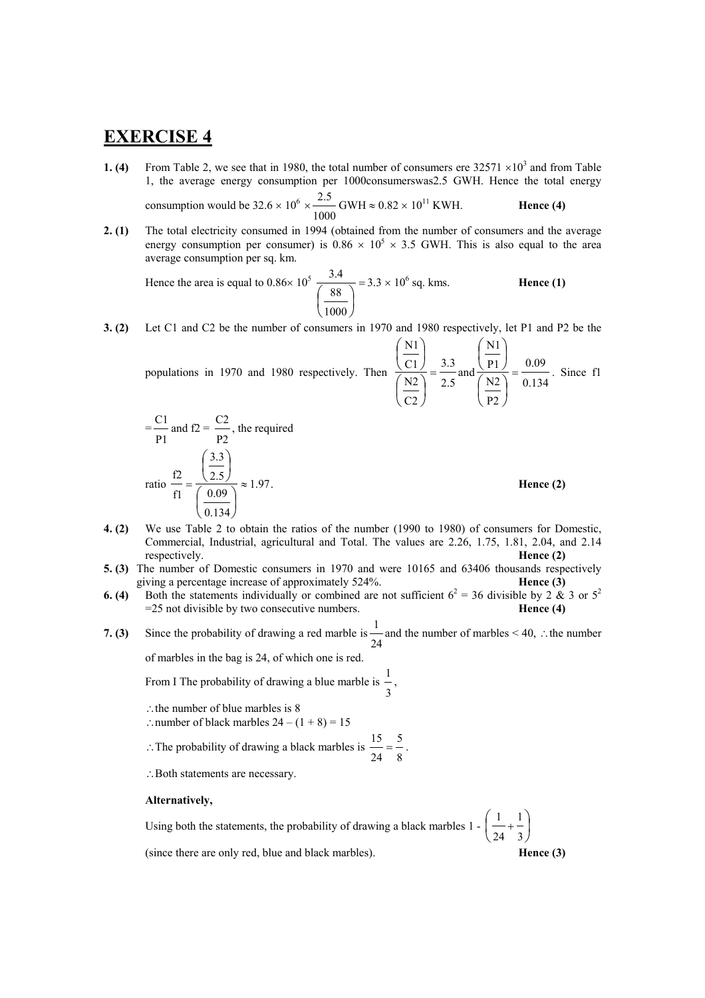# **EXERCISE 4**

**1. (4)** From Table 2, we see that in 1980, the total number of consumers ere  $32571 \times 10^3$  and from Table 1, the average energy consumption per 1000consumerswas2.5 GWH. Hence the total energy consu

\n The equation is given by:\n 
$$
\text{mption would be } 32.6 \times 10^6 \times \frac{2.5}{1000} \, \text{GWH} \approx 0.82 \times 10^{11} \, \text{KWH.}
$$
\n

**2. (1)** The total electricity consumed in 1994 (obtained from the number of consumers and the average energy consumption per consumer) is  $0.86 \times 10^5 \times 3.5$  GWH. This is also equal to the area average consumption per sq. km.

Hence the area is equal to  $0.86 \times 10^5 \frac{3.4}{\sqrt{1.55}}$  $\overline{\phantom{a}}$ ⎠  $\left(\frac{88}{1000}\right)$ ⎝  $\big($ 1000 88  $\frac{3.4}{1.3}$  = 3.3 × 10<sup>6</sup> sq. kms. **Hence (1)** 

**3. (2)** Let C1 and C2 be the number of consumers in 1970 and 1980 respectively, let P1 and P2 be the

populations in 1970 and 1980 respectively. Then 
$$
\frac{\left(\frac{N1}{C1}\right)}{\left(\frac{N2}{C2}\right)} = \frac{3.3}{2.5}
$$
 and  $\frac{\left(\frac{N1}{P1}\right)}{\left(\frac{N2}{P2}\right)} = \frac{0.09}{0.134}$ . Since f1

$$
= \frac{C1}{P1} \text{ and } f2 = \frac{C2}{P2}, \text{ the required}
$$
  
ratio 
$$
\frac{f2}{f1} = \frac{\left(\frac{3.3}{2.5}\right)}{\left(\frac{0.09}{0.134}\right)} \approx 1.97.
$$

. **Hence (2)**

- **4. (2)** We use Table 2 to obtain the ratios of the number (1990 to 1980) of consumers for Domestic, Commercial, Industrial, agricultural and Total. The values are 2.26, 1.75, 1.81, 2.04, and 2.14 respectively. **Hence (2)**
- **5. (3)** The number of Domestic consumers in 1970 and were 10165 and 63406 thousands respectively giving a percentage increase of approximately 524%. **Hence (3)**
- **6. (4)** Both the statements individually or combined are not sufficient  $6^2 = 36$  divisible by 2 & 3 or  $5^2$ =25 not divisible by two consecutive numbers. **Hence (4)**
- **7. (3)** Since the probability of drawing a red marble is 24 1 and the number of marbles < 40, ∴the number of marbles in the bag is 24, of which one is red.

From I The probability of drawing a blue marble is 3  $\frac{1}{1}$ ,

- ∴the number of blue marbles is 8
- ∴number of black marbles  $24 (1 + 8) = 15$
- ∴The probability of drawing a black marbles is 8 5 24  $\frac{15}{15} = \frac{5}{15}$ .
- ∴Both statements are necessary.

### **Alternatively,**

Using both the statements, the probability of drawing a black marbles  $1 - \frac{1}{2} + \frac{1}{2}$ ⎠  $\left(\frac{1}{\cdot} + \frac{1}{\cdot}\right)$ ⎝  $\begin{pmatrix} 1 \\ -1 \end{pmatrix}$ 3 1 24 1 (since there are only red, blue and black marbles). **Hence (3)**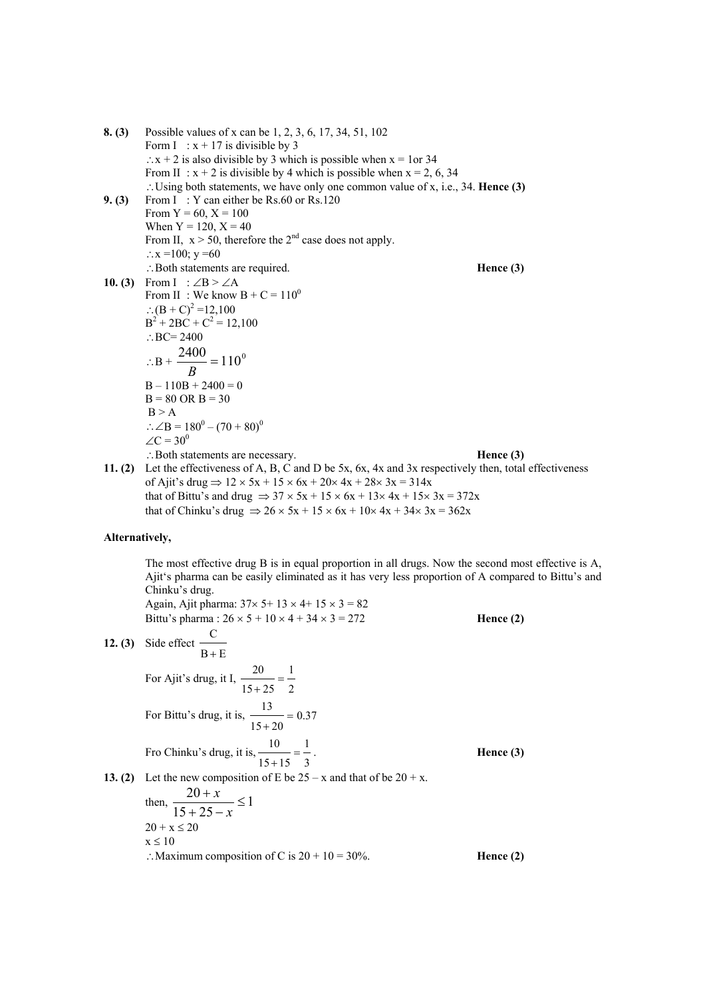**8. (3)** Possible values of x can be 1, 2, 3, 6, 17, 34, 51, 102 Form I :  $x + 17$  is divisible by 3  $\therefore$  x + 2 is also divisible by 3 which is possible when x = 1or 34 From II :  $x + 2$  is divisible by 4 which is possible when  $x = 2, 6, 34$ ∴Using both statements, we have only one common value of x, i.e., 34. **Hence (3) 9. (3)** From I: Y can either be Rs.60 or Rs.120 From  $Y = 60$ ,  $X = 100$ When  $Y = 120$ ,  $X = 40$ From II,  $x > 50$ , therefore the 2<sup>nd</sup> case does not apply. ∴ $x = 100$ ;  $y = 60$ ∴Both statements are required. **Hence (3) 10. (3)** From I :  $\angle$ B >  $\angle$ A From II : We know  $B + C = 110^0$ ∴(B + C)<sup>2</sup> = 12,100  $B^2 + 2BC + C^2 = 12,100$  $\therefore BC = 2400$ ∴B +  $\frac{2400}{B}$  = 110<sup>0</sup>  $B - 110B + 2400 = 0$  $B = 80$  OR  $B = 30$  $B > A$ ∴∠B =  $180^0$  –  $(70 + 80)^0$  $\angle C = 30^0$ ∴Both statements are necessary. **Hence (3) 11. (2)** Let the effectiveness of A, B, C and D be 5x, 6x, 4x and 3x respectively then, total effectiveness of Ajit's drug  $\Rightarrow$  12  $\times$  5x + 15  $\times$  6x + 20 $\times$  4x + 28 $\times$  3x = 314x that of Bittu's and drug  $\Rightarrow$  37  $\times$  5x + 15  $\times$  6x + 13 $\times$  4x + 15 $\times$  3x = 372x

that of Chinku's drug  $\Rightarrow$  26 × 5x + 15 × 6x + 10× 4x + 34× 3x = 362x

### **Alternatively,**

The most effective drug B is in equal proportion in all drugs. Now the second most effective is A, Ajit's pharma can be easily eliminated as it has very less proportion of A compared to Bittu's and Chinku's drug. Again, Ajit pharma:  $37 \times 5 + 13 \times 4 + 15 \times 3 = 82$ Bittu's pharma :  $26 \times 5 + 10 \times 4 + 34 \times 3 = 272$  **Hence (2) 12. (3)** Side effect  $B + E$ C + For Ajit's drug, it I, 2 1  $\frac{20}{15 + 25} =$ 

For Bittu's drug, it is,  $\frac{12}{100} = 0.37$  $\frac{13}{15 + 20} =$ Fro Chinku's drug, it is, 1  $\frac{10}{15+15} = \frac{1}{3}$ . **Hence (3)** 

**13. (2)** Let the new composition of E be  $25 - x$  and that of be  $20 + x$ .

then,  $\frac{20+x}{15} \leq 1$  $15 + 25$  $\frac{20+x}{10} \leq$  $+25-$ + *x x*  $20 + x \le 20$  $x \leq 10$ ∴Maximum composition of C is  $20 + 10 = 30%$ . **Hence (2)** 

3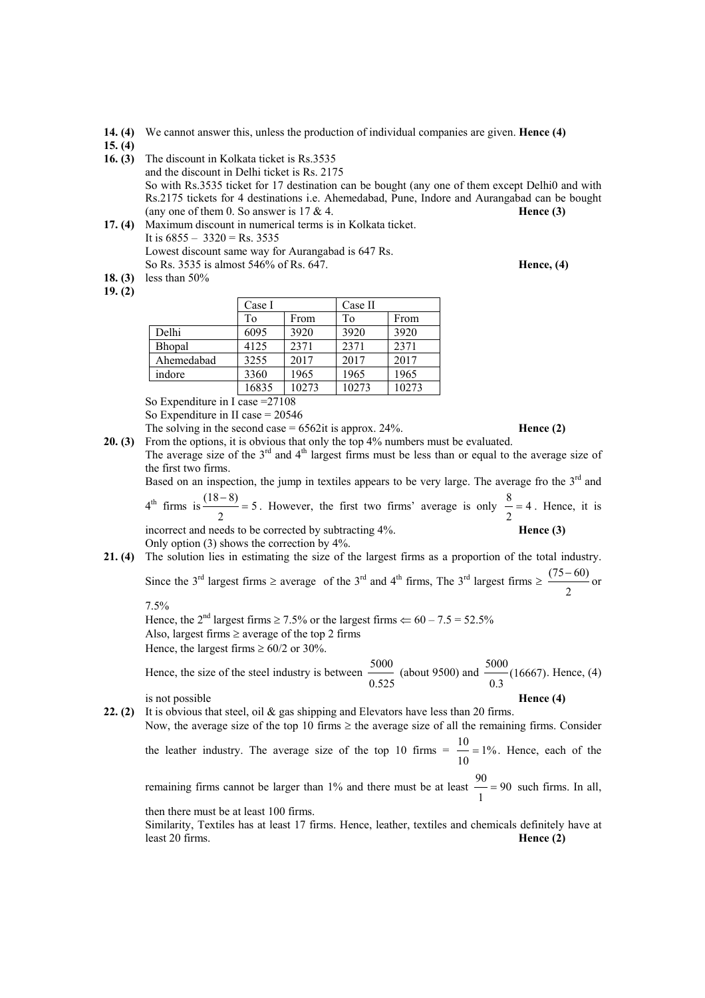- **14. (4)** We cannot answer this, unless the production of individual companies are given. **Hence (4)**
- **15. (4)**
- **16. (3)** The discount in Kolkata ticket is Rs.3535 and the discount in Delhi ticket is Rs. 2175 So with Rs.3535 ticket for 17 destination can be bought (any one of them except Delhi0 and with Rs.2175 tickets for 4 destinations i.e. Ahemedabad, Pune, Indore and Aurangabad can be bought (any one of them  $0.$  So answer is  $17 \& 4.$  **Hence (3) Hence (3) 17. (4)** Maximum discount in numerical terms is in Kolkata ticket.
- It is  $6855 3320 = \text{Rs.} 3535$  Lowest discount same way for Aurangabad is 647 Rs. So Rs. 3535 is almost 546% of Rs. 647. **Hence, (4)**
- **18. (3)** less than 50%

**19. (2)** 

|            | Case I |       | Case II |       |
|------------|--------|-------|---------|-------|
|            | To     | From  | To      | From  |
| Delhi      | 6095   | 3920  | 3920    | 3920  |
| Bhopal     | 4125   | 2371  | 2371    | 2371  |
| Ahemedabad | 3255   | 2017  | 2017    | 2017  |
| indore     | 3360   | 1965  | 1965    | 1965  |
|            | 16835  | 10273 | 10273   | 10273 |

So Expenditure in I case =27108

So Expenditure in II case = 20546

The solving in the second case  $= 6562$ it is approx. 24%. **Hence (2)** 

**20. (3)** From the options, it is obvious that only the top 4% numbers must be evaluated. The average size of the  $3<sup>rd</sup>$  and  $4<sup>th</sup>$  largest firms must be less than or equal to the average size of the first two firms.

Based on an inspection, the jump in textiles appears to be very large. The average fro the  $3<sup>rd</sup>$  and

 $4<sup>th</sup>$  firms is  $\frac{(10-0)}{ }=5$ 2  $\frac{(18-8)}{2}$  = 5. However, the first two firms' average is only  $\frac{8}{2}$  = 4 2  $\frac{8}{6}$  = 4. Hence, it is incorrect and needs to be corrected by subtracting 4%. **Hence (3) Hence (3)** Only option (3) shows the correction by 4%.

**21. (4)** The solution lies in estimating the size of the largest firms as a proportion of the total industry. Since the 3<sup>rd</sup> largest firms ≥ average of the 3<sup>rd</sup> and 4<sup>th</sup> firms, The 3<sup>rd</sup> largest firms ≥ 2  $\frac{(75-60)}{0}$  or

7.5%

Hence, the 2<sup>nd</sup> largest firms  $\geq 7.5\%$  or the largest firms  $\Leftarrow 60 - 7.5 = 52.5\%$ Also, largest firms  $\geq$  average of the top 2 firms Hence, the largest firms  $\geq 60/2$  or 30%.

 Hence, the size of the steel industry is between 0.525  $\frac{5000}{\phantom{000}}$  (about 9500) and  $\frac{5000}{\phantom{000}}$  (16667) 0.3  $\frac{5000}{16667}$ . Hence, (4)

is not possible **Hence (4)**

**22. (2)** It is obvious that steel, oil & gas shipping and Elevators have less than 20 firms. Now, the average size of the top 10 firms  $\ge$  the average size of all the remaining firms. Consider the leather industry. The average size of the top 10 firms  $=$   $\frac{1}{2}$ 10  $\frac{10}{2}$  = 1%. Hence, each of the

remaining firms cannot be larger than 1% and there must be at least  $\frac{1}{\sqrt{2}} = 90$ 1  $\frac{90}{2}$  = 90 such firms. In all, then there must be at least 100 firms.

Similarity, Textiles has at least 17 firms. Hence, leather, textiles and chemicals definitely have at

least 20 firms. **Hence (2)**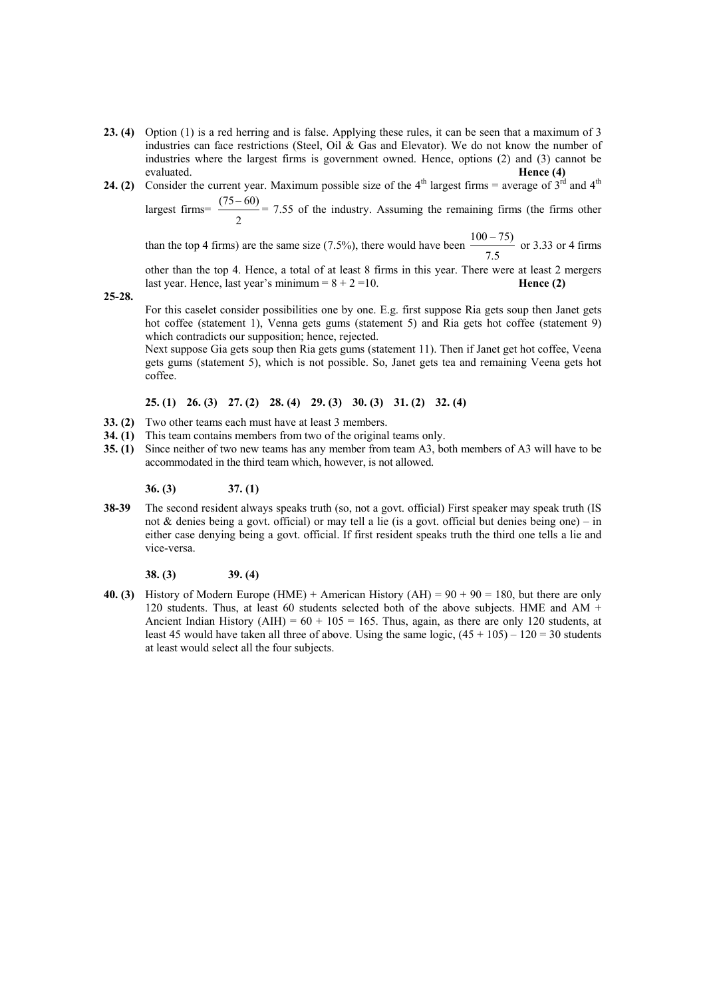- **23. (4)** Option (1) is a red herring and is false. Applying these rules, it can be seen that a maximum of 3 industries can face restrictions (Steel, Oil & Gas and Elevator). We do not know the number of industries where the largest firms is government owned. Hence, options (2) and (3) cannot be evaluated. **Hence (4)**
- **24. (2)** Consider the current year. Maximum possible size of the  $4<sup>th</sup>$  largest firms = average of  $3<sup>rd</sup>$  and  $4<sup>th</sup>$

largest firms= 2  $\frac{(75-60)}{2}$  = 7.55 of the industry. Assuming the remaining firms (the firms other

than the top 4 firms) are the same size (7.5%), there would have been 7.5  $\frac{100 - 75}{\text{or } 3.33 \text{ or } 4 \text{ firms}}$ 

other than the top 4. Hence, a total of at least 8 firms in this year. There were at least 2 mergers last year. Hence, last year's minimum  $= 8 + 2 = 10$ . **Hence (2)** 

**25-28.**

For this caselet consider possibilities one by one. E.g. first suppose Ria gets soup then Janet gets hot coffee (statement 1), Venna gets gums (statement 5) and Ria gets hot coffee (statement 9) which contradicts our supposition; hence, rejected.

Next suppose Gia gets soup then Ria gets gums (statement 11). Then if Janet get hot coffee, Veena gets gums (statement 5), which is not possible. So, Janet gets tea and remaining Veena gets hot coffee.

### **25. (1) 26. (3) 27. (2) 28. (4) 29. (3) 30. (3) 31. (2) 32. (4)**

- **33. (2)** Two other teams each must have at least 3 members.
- **34. (1)** This team contains members from two of the original teams only.
- **35. (1)** Since neither of two new teams has any member from team A3, both members of A3 will have to be accommodated in the third team which, however, is not allowed.

**36. (3) 37. (1)**

**38-39** The second resident always speaks truth (so, not a govt. official) First speaker may speak truth (IS not & denies being a govt. official) or may tell a lie (is a govt. official but denies being one) – in either case denying being a govt. official. If first resident speaks truth the third one tells a lie and vice-versa.

**38. (3) 39. (4)**

**40. (3)** History of Modern Europe (HME) + American History (AH) = 90 + 90 = 180, but there are only 120 students. Thus, at least 60 students selected both of the above subjects. HME and AM  $+$ Ancient Indian History (AIH) =  $60 + 105 = 165$ . Thus, again, as there are only 120 students, at least 45 would have taken all three of above. Using the same logic,  $(45 + 105) - 120 = 30$  students at least would select all the four subjects.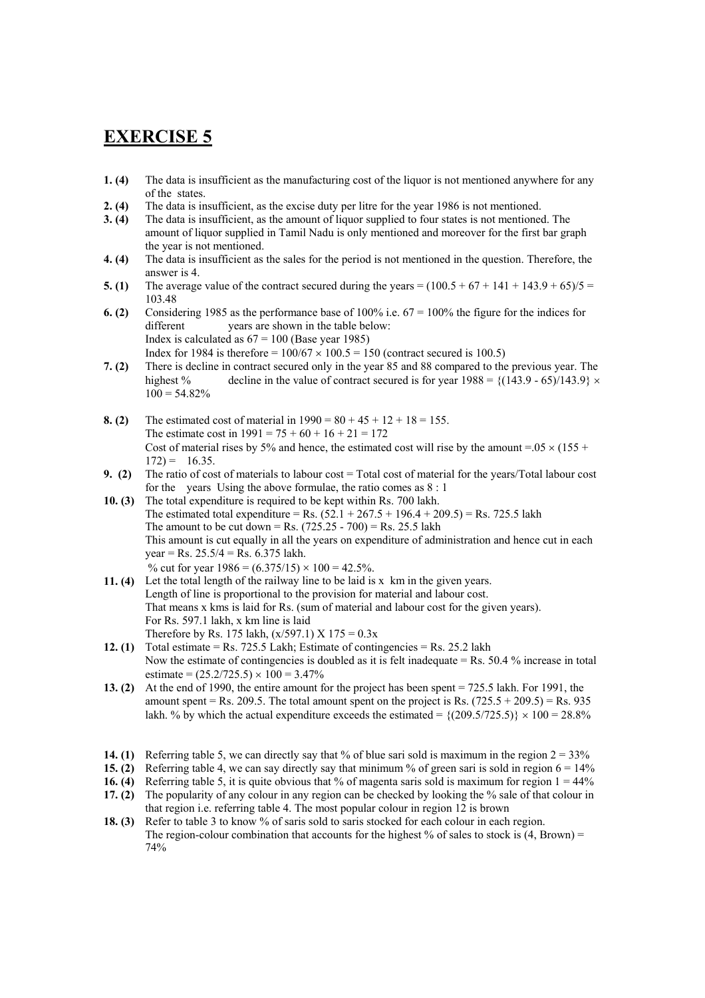# **EXERCISE 5**

- **1. (4)** The data is insufficient as the manufacturing cost of the liquor is not mentioned anywhere for any of the states.
- **2. (4)** The data is insufficient, as the excise duty per litre for the year 1986 is not mentioned.
- **3. (4)** The data is insufficient, as the amount of liquor supplied to four states is not mentioned. The amount of liquor supplied in Tamil Nadu is only mentioned and moreover for the first bar graph the year is not mentioned.
- **4. (4)** The data is insufficient as the sales for the period is not mentioned in the question. Therefore, the answer is 4.
- **5. (1)** The average value of the contract secured during the years =  $(100.5 + 67 + 141 + 143.9 + 65)/5 =$ 103.48
- **6. (2)** Considering 1985 as the performance base of 100% i.e. 67 = 100% the figure for the indices for different vears are shown in the table below: Index is calculated as  $67 = 100$  (Base year 1985) Index for 1984 is therefore =  $100/67 \times 100.5 = 150$  (contract secured is 100.5)
- **7. (2)** There is decline in contract secured only in the year 85 and 88 compared to the previous year. The highest % decline in the value of contract secured is for year  $1988 = \{(143.9 - 65)/143.9\} \times$  $100 = 54.82\%$
- **8. (2)** The estimated cost of material in  $1990 = 80 + 45 + 12 + 18 = 155$ . The estimate cost in  $1991 = 75 + 60 + 16 + 21 = 172$ Cost of material rises by 5% and hence, the estimated cost will rise by the amount =.05  $\times$  (155 +  $172$ ) = 16.35.
- **9. (2)** The ratio of cost of materials to labour cost = Total cost of material for the years/Total labour cost for the years Using the above formulae, the ratio comes as 8 : 1
- **10. (3)** The total expenditure is required to be kept within Rs. 700 lakh. The estimated total expenditure = Rs.  $(52.1 + 267.5 + 196.4 + 209.5) =$  Rs. 725.5 lakh The amount to be cut down = Rs.  $(725.25 - 700) =$  Rs. 25.5 lakh This amount is cut equally in all the years on expenditure of administration and hence cut in each year = Rs.  $25.5/4 = \text{Rs. } 6.375$  lakh. % cut for year  $1986 = (6.375/15) \times 100 = 42.5\%$ .
- **11. (4)** Let the total length of the railway line to be laid is x km in the given years. Length of line is proportional to the provision for material and labour cost. That means x kms is laid for Rs. (sum of material and labour cost for the given years). For Rs. 597.1 lakh, x km line is laid Therefore by Rs. 175 lakh,  $(x/597.1)$  X 175 = 0.3x
- **12. (1)** Total estimate = Rs. 725.5 Lakh; Estimate of contingencies = Rs. 25.2 lakh Now the estimate of contingencies is doubled as it is felt inadequate = Rs. 50.4 % increase in total estimate =  $(25.2/725.5) \times 100 = 3.47\%$
- **13. (2)** At the end of 1990, the entire amount for the project has been spent = 725.5 lakh. For 1991, the amount spent = Rs. 209.5. The total amount spent on the project is Rs.  $(725.5 + 209.5) =$  Rs. 935 lakh. % by which the actual expenditure exceeds the estimated =  $\{(209.5/725.5)\}\times 100 = 28.8\%$
- **14. (1)** Referring table 5, we can directly say that % of blue sari sold is maximum in the region  $2 = 33\%$
- **15. (2)** Referring table 4, we can say directly say that minimum % of green sari is sold in region  $6 = 14\%$
- **16. (4)** Referring table 5, it is quite obvious that % of magenta saris sold is maximum for region  $1 = 44\%$
- **17. (2)** The popularity of any colour in any region can be checked by looking the % sale of that colour in that region i.e. referring table 4. The most popular colour in region 12 is brown
- **18. (3)** Refer to table 3 to know % of saris sold to saris stocked for each colour in each region. The region-colour combination that accounts for the highest % of sales to stock is  $(4, Brown) =$ 74%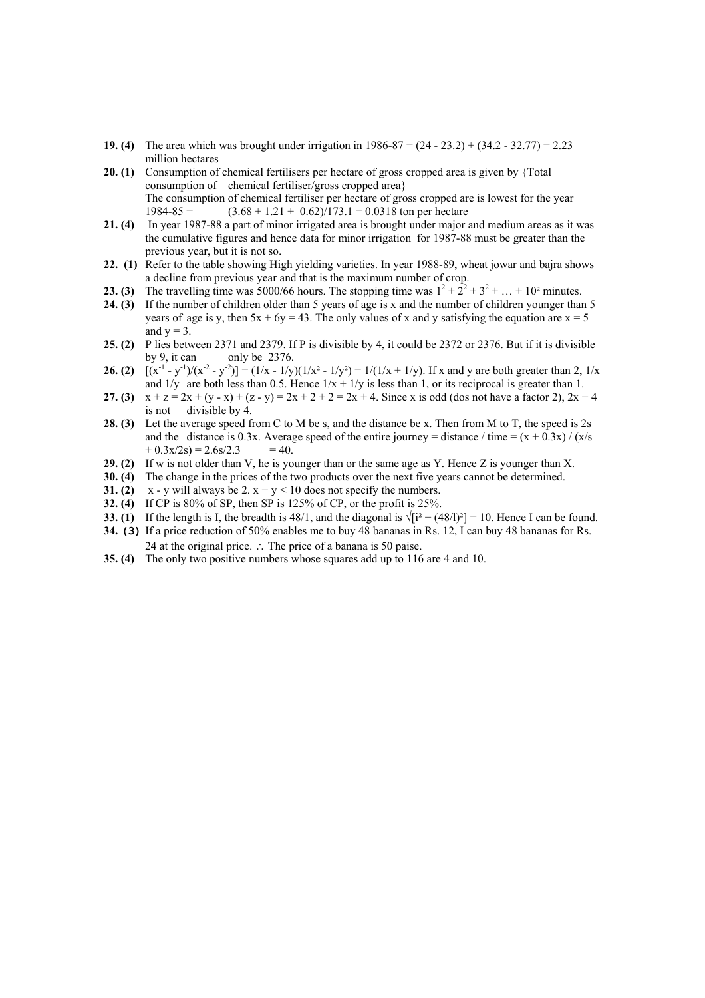- **19. (4)** The area which was brought under irrigation in 1986-87 = (24 23.2) + (34.2 32.77) = 2.23 million hectares
- **20. (1)** Consumption of chemical fertilisers per hectare of gross cropped area is given by {Total consumption of chemical fertiliser/gross cropped area} The consumption of chemical fertiliser per hectare of gross cropped are is lowest for the year  $1984-85 =$   $(3.68 + 1.21 + 0.62)/173.1 = 0.0318$  ton per hectare
- **21. (4)** In year 1987-88 a part of minor irrigated area is brought under major and medium areas as it was the cumulative figures and hence data for minor irrigation for 1987-88 must be greater than the previous year, but it is not so.
- **22. (1)** Refer to the table showing High yielding varieties. In year 1988-89, wheat jowar and bajra shows a decline from previous year and that is the maximum number of crop.
- **23. (3)** The travelling time was 5000/66 hours. The stopping time was  $1^2 + 2^2 + 3^2 + ... + 10^2$  minutes.
- **24. (3)** If the number of children older than 5 years of age is x and the number of children younger than 5 years of age is y, then  $5x + 6y = 43$ . The only values of x and y satisfying the equation are  $x = 5$ and  $y = 3$ .
- **25. (2)** P lies between 2371 and 2379. If P is divisible by 4, it could be 2372 or 2376. But if it is divisible by 9, it can only be 2376.
- **26. (2)**  $[(x^{-1} y^{-1})/(x^{-2} y^{-2})] = (1/x 1/y)(1/x^2 1/y^2) = 1/(1/x + 1/y)$ . If x and y are both greater than 2,  $1/x$ and  $1/y$  are both less than 0.5. Hence  $1/x + 1/y$  is less than 1, or its reciprocal is greater than 1.
- **27. (3)**  $x + z = 2x + (y x) + (z y) = 2x + 2 + 2 = 2x + 4$ . Since x is odd (dos not have a factor 2),  $2x + 4$ is not divisible by  $\hat{4}$ .
- **28. (3)** Let the average speed from C to M be s, and the distance be x. Then from M to T, the speed is 2s and the distance is 0.3x. Average speed of the entire journey = distance / time =  $(x + 0.3x) / (x/s)$  $+ 0.3x/2s = 2.6s/2.3 = 40.$
- **29. (2)** If w is not older than V, he is younger than or the same age as Y. Hence Z is younger than X.
- **30. (4)** The change in the prices of the two products over the next five years cannot be determined.
- **31. (2)**  $x y$  will always be 2.  $x + y < 10$  does not specify the numbers.
- **32. (4)** If CP is 80% of SP, then SP is 125% of CP, or the profit is 25%.
- **33.** (1) If the length is I, the breadth is 48/1, and the diagonal is  $\sqrt{[i^2 + (48/1)^2]} = 10$ . Hence I can be found.
- **34. (3)** If a price reduction of 50% enables me to buy 48 bananas in Rs. 12, I can buy 48 bananas for Rs. 24 at the original price. ∴ The price of a banana is 50 paise.
- **35. (4)** The only two positive numbers whose squares add up to 116 are 4 and 10.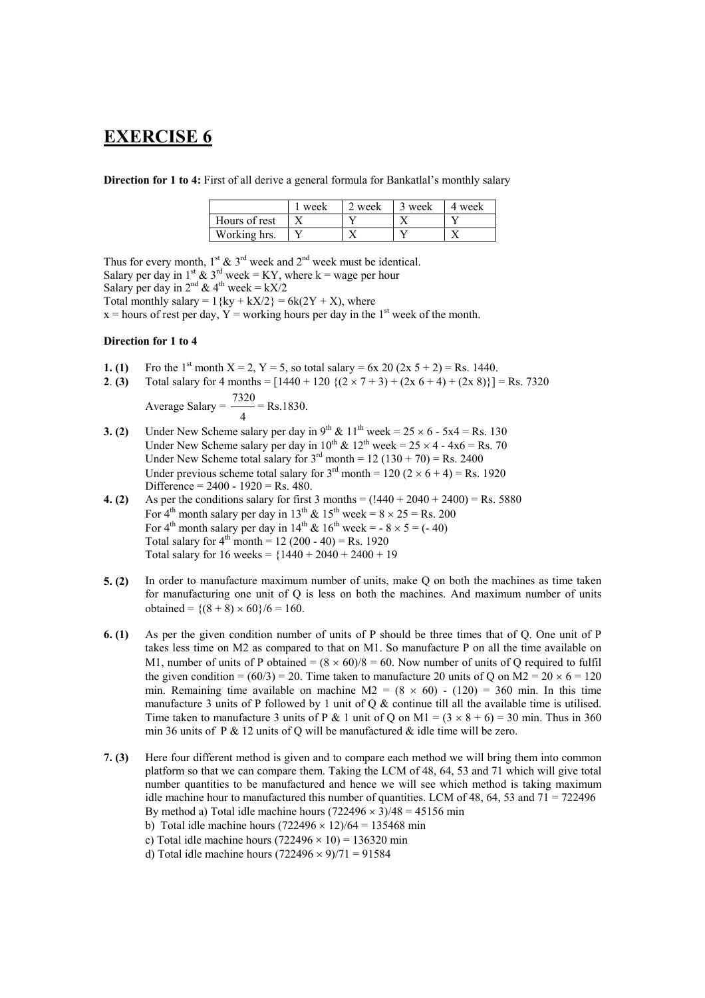# **EXERCISE 6**

**Direction for 1 to 4:** First of all derive a general formula for Bankatlal's monthly salary

|               | week | 2 week | 3 week | 4 week |
|---------------|------|--------|--------|--------|
| Hours of rest |      |        |        |        |
| Working hrs.  |      |        |        |        |

Thus for every month,  $1^{st}$  &  $3^{rd}$  week and  $2^{nd}$  week must be identical.

Salary per day in 1<sup>st</sup>  $\&$  3<sup>rd</sup> week = KY, where k = wage per hour

Salary per day in  $2^{nd}$  & 4<sup>th</sup> week = kX/2

Total monthly salary =  $1$ {ky + kX/2} = 6k(2Y + X), where

 $x =$  hours of rest per day,  $Y =$  working hours per day in the 1<sup>st</sup> week of the month.

### **Direction for 1 to 4**

- **1.** (1) Fro the 1<sup>st</sup> month  $X = 2$ ,  $Y = 5$ , so total salary = 6x 20 (2x 5 + 2) = Rs. 1440.
- **2. <b>(3)** Total salary for 4 months =  $[1440 + 120 \{ (2 \times 7 + 3) + (2 \times 6 + 4) + (2 \times 8) \}] = \text{Rs.} 7320$

Average Salary 
$$
=
$$
  $\frac{7320}{4}$  = Rs.1830.

- **3. (2)** Under New Scheme salary per day in  $9^{th}$  &  $11^{th}$  week =  $25 \times 6$   $5x4$  = Rs. 130 Under New Scheme salary per day in  $10^{th}$  &  $12^{th}$  week =  $25 \times 4 - 4x6 = \text{Rs.} 70$ Under New Scheme total salary for  $3^{rd}$  month = 12 (130 + 70) = Rs. 2400 Under previous scheme total salary for  $3<sup>rd</sup>$  month = 120 (2 × 6 + 4) = Rs. 1920 Difference =  $2400 - 1920 = Rs. 480$ .
- **4.** (2) As per the conditions salary for first 3 months =  $(1440 + 2040 + 2400) =$  Rs. 5880 For  $4^{th}$  month salary per day in 13<sup>th</sup> & 15<sup>th</sup> week =  $8 \times 25 =$  Rs. 200 For  $4^{th}$  month salary per day in  $14^{th}$  &  $16^{th}$  week = -  $8 \times 5 = (-40)$ Total salary for  $4^{th}$  month = 12 (200 - 40) = Rs. 1920 Total salary for  $16$  weeks =  $\{1440 + 2040 + 2400 + 19$
- **5. (2)** In order to manufacture maximum number of units, make Q on both the machines as time taken for manufacturing one unit of Q is less on both the machines. And maximum number of units obtained =  ${(8 + 8) \times 60}/6 = 160$ .
- **6. (1)** As per the given condition number of units of P should be three times that of Q. One unit of P takes less time on M2 as compared to that on M1. So manufacture P on all the time available on M1, number of units of P obtained =  $(8 \times 60)/8 = 60$ . Now number of units of Q required to fulfil the given condition =  $(60/3)$  = 20. Time taken to manufacture 20 units of Q on M2 = 20  $\times$  6 = 120 min. Remaining time available on machine  $M2 = (8 \times 60) - (120) = 360$  min. In this time manufacture 3 units of P followed by 1 unit of  $Q \&$  continue till all the available time is utilised. Time taken to manufacture 3 units of P & 1 unit of Q on M1 =  $(3 \times 8 + 6) = 30$  min. Thus in 360 min 36 units of P  $\&$  12 units of Q will be manufactured  $\&$  idle time will be zero.
- **7. (3)** Here four different method is given and to compare each method we will bring them into common platform so that we can compare them. Taking the LCM of 48, 64, 53 and 71 which will give total number quantities to be manufactured and hence we will see which method is taking maximum idle machine hour to manufactured this number of quantities. LCM of 48, 64, 53 and  $71 = 722496$ By method a) Total idle machine hours  $(722496 \times 3)/48 = 45156$  min
	- b) Total idle machine hours  $(722496 \times 12)/64 = 135468$  min
	- c) Total idle machine hours  $(722496 \times 10) = 136320$  min
	- d) Total idle machine hours  $(722496 \times 9)/71 = 91584$